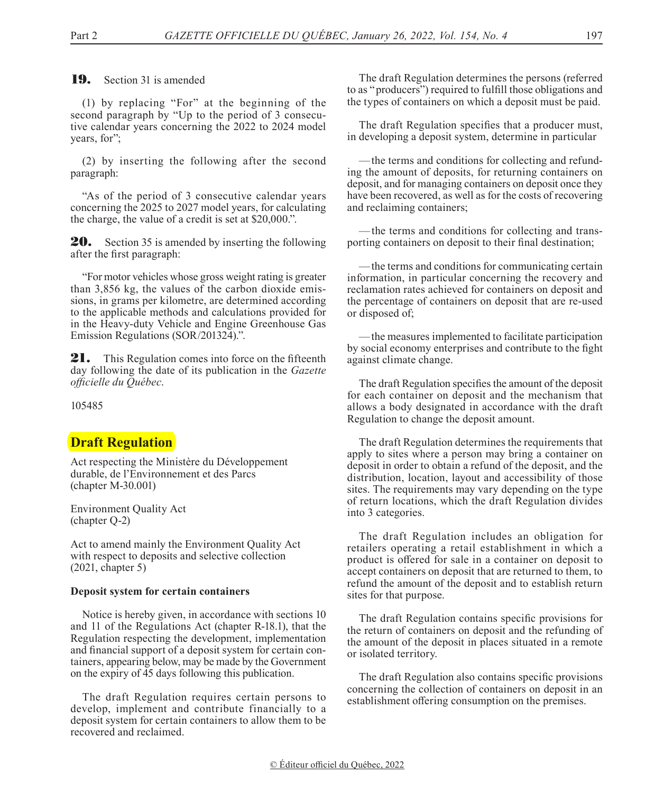**19.** Section 31 is amended

(1) by replacing "For" at the beginning of the second paragraph by "Up to the period of 3 consecutive calendar years concerning the 2022 to 2024 model years, for";

(2) by inserting the following after the second paragraph:

"As of the period of 3 consecutive calendar years concerning the 2025 to 2027 model years, for calculating the charge, the value of a credit is set at \$20,000.".

**20.** Section 35 is amended by inserting the following after the first paragraph:

"For motor vehicles whose gross weight rating is greater than 3,856 kg, the values of the carbon dioxide emissions, in grams per kilometre, are determined according to the applicable methods and calculations provided for in the Heavy-duty Vehicle and Engine Greenhouse Gas Emission Regulations (SOR/201324).".

**21.** This Regulation comes into force on the fifteenth day following the date of its publication in the *Gazette officielle du Québec*.

105485

## **Draft Regulation**

Act respecting the Ministère du Développement durable, de l'Environnement et des Parcs (chapter M-30.001)

Environment Quality Act (chapter Q-2)

Act to amend mainly the Environment Quality Act with respect to deposits and selective collection (2021, chapter 5)

### **Deposit system for certain containers**

Notice is hereby given, in accordance with sections 10 and 11 of the Regulations Act (chapter R-18.1), that the Regulation respecting the development, implementation and financial support of a deposit system for certain containers, appearing below, may be made by the Government on the expiry of 45 days following this publication.

The draft Regulation requires certain persons to develop, implement and contribute financially to a deposit system for certain containers to allow them to be recovered and reclaimed.

The draft Regulation determines the persons (referred to as "producers") required to fulfill those obligations and the types of containers on which a deposit must be paid.

The draft Regulation specifies that a producer must, in developing a deposit system, determine in particular

—the terms and conditions for collecting and refunding the amount of deposits, for returning containers on deposit, and for managing containers on deposit once they have been recovered, as well as for the costs of recovering and reclaiming containers;

—the terms and conditions for collecting and transporting containers on deposit to their final destination;

—the terms and conditions for communicating certain information, in particular concerning the recovery and reclamation rates achieved for containers on deposit and the percentage of containers on deposit that are re-used or disposed of;

—the measures implemented to facilitate participation by social economy enterprises and contribute to the fight against climate change.

The draft Regulation specifies the amount of the deposit for each container on deposit and the mechanism that allows a body designated in accordance with the draft Regulation to change the deposit amount.

The draft Regulation determines the requirements that apply to sites where a person may bring a container on deposit in order to obtain a refund of the deposit, and the distribution, location, layout and accessibility of those sites. The requirements may vary depending on the type of return locations, which the draft Regulation divides into 3 categories.

The draft Regulation includes an obligation for retailers operating a retail establishment in which a product is offered for sale in a container on deposit to accept containers on deposit that are returned to them, to refund the amount of the deposit and to establish return sites for that purpose.

The draft Regulation contains specific provisions for the return of containers on deposit and the refunding of the amount of the deposit in places situated in a remote or isolated territory.

The draft Regulation also contains specific provisions concerning the collection of containers on deposit in an establishment offering consumption on the premises.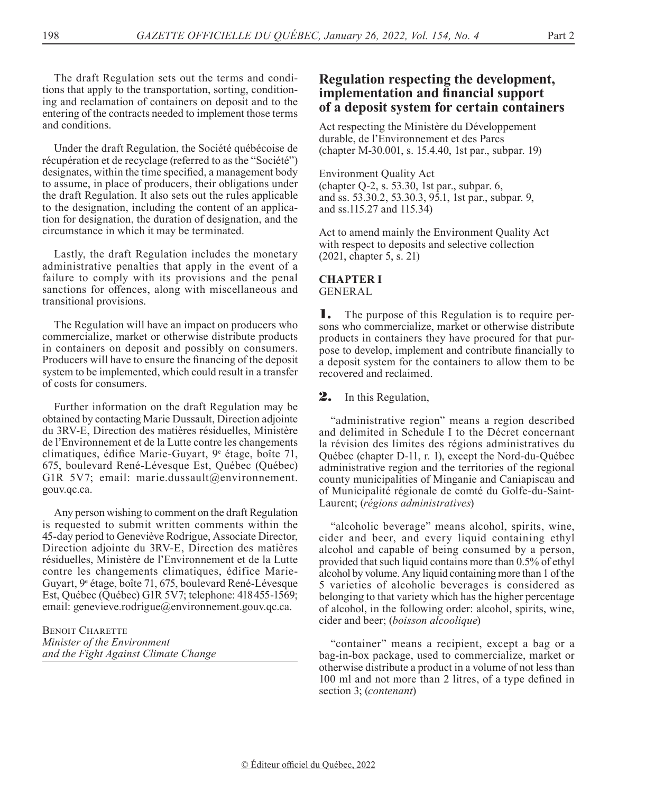The draft Regulation sets out the terms and conditions that apply to the transportation, sorting, conditioning and reclamation of containers on deposit and to the entering of the contracts needed to implement those terms and conditions.

Under the draft Regulation, the Société québécoise de récupération et de recyclage (referred to as the "Société") designates, within the time specified, a management body to assume, in place of producers, their obligations under the draft Regulation. It also sets out the rules applicable to the designation, including the content of an application for designation, the duration of designation, and the circumstance in which it may be terminated.

Lastly, the draft Regulation includes the monetary administrative penalties that apply in the event of a failure to comply with its provisions and the penal sanctions for offences, along with miscellaneous and transitional provisions.

The Regulation will have an impact on producers who commercialize, market or otherwise distribute products in containers on deposit and possibly on consumers. Producers will have to ensure the financing of the deposit system to be implemented, which could result in a transfer of costs for consumers.

Further information on the draft Regulation may be obtained by contacting Marie Dussault, Direction adjointe du 3RV-E, Direction des matières résiduelles, Ministère de l'Environnement et de la Lutte contre les changements climatiques, édifice Marie-Guyart, 9<sup>e</sup> étage, boîte 71, 675, boulevard René-Lévesque Est, Québec (Québec) G1R 5V7; email: marie.dussault@environnement. gouv.qc.ca.

Any person wishing to comment on the draft Regulation is requested to submit written comments within the 45-day period to Geneviève Rodrigue, Associate Director, Direction adjointe du 3RV-E, Direction des matières résiduelles, Ministère de l'Environnement et de la Lutte contre les changements climatiques, édifice Marie-Guyart, 9e étage, boîte 71, 675, boulevard René-Lévesque Est, Québec (Québec) G1R 5V7; telephone: 418455-1569; email: [genevieve.rodrigue@environnement.gouv.qc.ca](mailto:genevieve.rodrigue@environnement.gouv.qc.ca).

BENOIT CHARETTE *Minister of the Environment and the Fight Against Climate Change*

## **Regulation respecting the development, implementation and financial support of a deposit system for certain containers**

Act respecting the Ministère du Développement durable, de l'Environnement et des Parcs (chapter M-30.001, s. 15.4.40, 1st par., subpar. 19)

Environment Quality Act (chapter Q-2, s. 53.30, 1st par., subpar. 6, and ss. 53.30.2, 53.30.3, 95.1, 1st par., subpar. 9, and ss.115.27 and 115.34)

Act to amend mainly the Environment Quality Act with respect to deposits and selective collection (2021, chapter 5, s. 21)

### **CHAPTER I** GENERAL

1. The purpose of this Regulation is to require persons who commercialize, market or otherwise distribute products in containers they have procured for that purpose to develop, implement and contribute financially to a deposit system for the containers to allow them to be recovered and reclaimed.

2. In this Regulation,

"administrative region" means a region described and delimited in Schedule I to the Décret concernant la révision des limites des régions administratives du Québec (chapter D-11, r. 1), except the Nord-du-Québec administrative region and the territories of the regional county municipalities of Minganie and Caniapiscau and of Municipalité régionale de comté du Golfe-du-Saint-Laurent; (*régions administratives*)

"alcoholic beverage" means alcohol, spirits, wine, cider and beer, and every liquid containing ethyl alcohol and capable of being consumed by a person, provided that such liquid contains more than 0.5% of ethyl alcohol by volume. Any liquid containing more than 1 of the 5 varieties of alcoholic beverages is considered as belonging to that variety which has the higher percentage of alcohol, in the following order: alcohol, spirits, wine, cider and beer; (*boisson alcoolique*)

"container" means a recipient, except a bag or a bag-in-box package, used to commercialize, market or otherwise distribute a product in a volume of not less than 100 ml and not more than 2 litres, of a type defined in section 3; (*contenant*)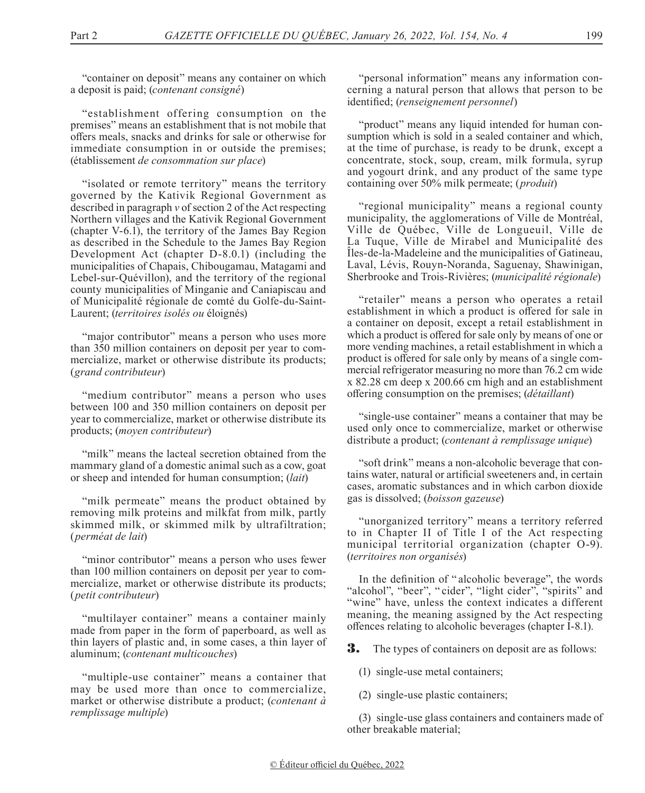"container on deposit" means any container on which a deposit is paid; (*contenant consigné*)

"establishment offering consumption on the premises" means an establishment that is not mobile that offers meals, snacks and drinks for sale or otherwise for immediate consumption in or outside the premises; (établissement *de consommation sur place*)

"isolated or remote territory" means the territory governed by the Kativik Regional Government as described in paragraph *v* of section 2 of the Act respecting Northern villages and the Kativik Regional Government (chapter V-6.1), the territory of the James Bay Region as described in the Schedule to the James Bay Region Development Act (chapter D-8.0.1) (including the municipalities of Chapais, Chibougamau, Matagami and Lebel-sur-Quévillon), and the territory of the regional county municipalities of Minganie and Caniapiscau and of Municipalité régionale de comté du Golfe-du-Saint-Laurent; (*territoires isolés ou* éloignés)

"major contributor" means a person who uses more than 350 million containers on deposit per year to commercialize, market or otherwise distribute its products; (*grand contributeur*)

"medium contributor" means a person who uses between 100 and 350 million containers on deposit per year to commercialize, market or otherwise distribute its products; (*moyen contributeur*)

"milk" means the lacteal secretion obtained from the mammary gland of a domestic animal such as a cow, goat or sheep and intended for human consumption; (*lait*)

"milk permeate" means the product obtained by removing milk proteins and milkfat from milk, partly skimmed milk, or skimmed milk by ultrafiltration; (*perméat de lait*)

"minor contributor" means a person who uses fewer than 100 million containers on deposit per year to commercialize, market or otherwise distribute its products; (*petit contributeur*)

"multilayer container" means a container mainly made from paper in the form of paperboard, as well as thin layers of plastic and, in some cases, a thin layer of aluminum; (*contenant multicouches*)

"multiple-use container" means a container that may be used more than once to commercialize, market or otherwise distribute a product; (*contenant à remplissage multiple*)

"personal information" means any information concerning a natural person that allows that person to be identified; (*renseignement personnel*)

"product" means any liquid intended for human consumption which is sold in a sealed container and which, at the time of purchase, is ready to be drunk, except a concentrate, stock, soup, cream, milk formula, syrup and yogourt drink, and any product of the same type containing over 50% milk permeate; (*produit*)

"regional municipality" means a regional county municipality, the agglomerations of Ville de Montréal, Ville de Québec, Ville de Longueuil, Ville de La Tuque, Ville de Mirabel and Municipalité des Îles-de-la-Madeleine and the municipalities of Gatineau, Laval, Lévis, Rouyn-Noranda, Saguenay, Shawinigan, Sherbrooke and Trois-Rivières; (*municipalité régionale*)

"retailer" means a person who operates a retail establishment in which a product is offered for sale in a container on deposit, except a retail establishment in which a product is offered for sale only by means of one or more vending machines, a retail establishment in which a product is offered for sale only by means of a single commercial refrigerator measuring no more than 76.2 cm wide x 82.28 cm deep x 200.66 cm high and an establishment offering consumption on the premises; (*détaillant*)

"single-use container" means a container that may be used only once to commercialize, market or otherwise distribute a product; (*contenant à remplissage unique*)

"soft drink" means a non-alcoholic beverage that contains water, natural or artificial sweeteners and, in certain cases, aromatic substances and in which carbon dioxide gas is dissolved; (*boisson gazeuse*)

"unorganized territory" means a territory referred to in Chapter II of Title I of the Act respecting municipal territorial organization (chapter O-9). (*territoires non organisés*)

In the definition of " alcoholic beverage", the words "alcohol", "beer", "cider", "light cider", "spirits" and "wine" have, unless the context indicates a different meaning, the meaning assigned by the Act respecting offences relating to alcoholic beverages (chapter I-8.1).

**3.** The types of containers on deposit are as follows:

(1) single-use metal containers;

(2) single-use plastic containers;

(3) single-use glass containers and containers made of other breakable material;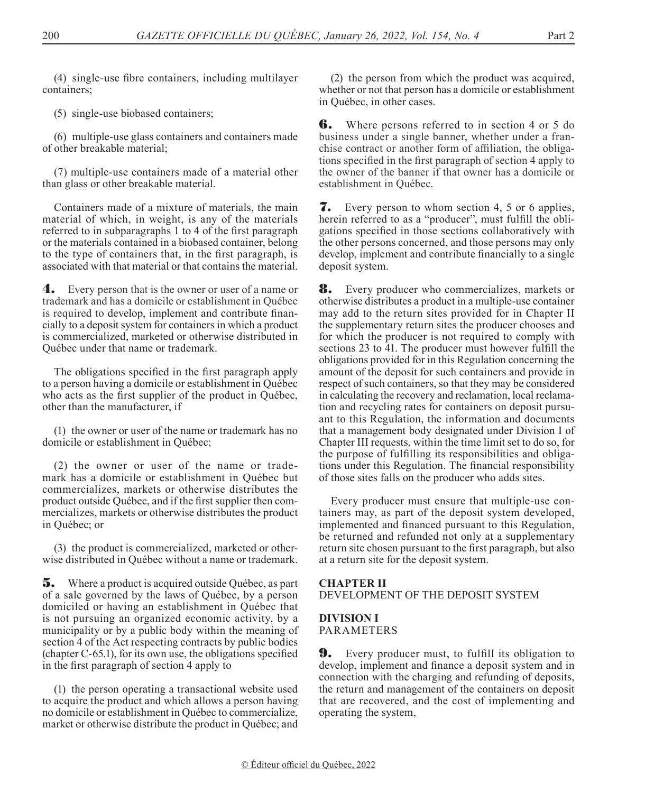(4) single-use fibre containers, including multilayer containers;

(5) single-use biobased containers;

(6) multiple-use glass containers and containers made of other breakable material;

(7) multiple-use containers made of a material other than glass or other breakable material.

Containers made of a mixture of materials, the main material of which, in weight, is any of the materials referred to in subparagraphs 1 to 4 of the first paragraph or the materials contained in a biobased container, belong to the type of containers that, in the first paragraph, is associated with that material or that contains the material.

4. Every person that is the owner or user of a name or trademark and has a domicile or establishment in Québec is required to develop, implement and contribute financially to a deposit system for containers in which a product is commercialized, marketed or otherwise distributed in Québec under that name or trademark.

The obligations specified in the first paragraph apply to a person having a domicile or establishment in Québec who acts as the first supplier of the product in Québec, other than the manufacturer, if

(1) the owner or user of the name or trademark has no domicile or establishment in Québec;

(2) the owner or user of the name or trademark has a domicile or establishment in Québec but commercializes, markets or otherwise distributes the product outside Québec, and if the first supplier then commercializes, markets or otherwise distributes the product in Québec; or

(3) the product is commercialized, marketed or otherwise distributed in Québec without a name or trademark.

5. Where a product is acquired outside Québec, as part of a sale governed by the laws of Québec, by a person domiciled or having an establishment in Québec that is not pursuing an organized economic activity, by a municipality or by a public body within the meaning of section 4 of the Act respecting contracts by public bodies (chapter C-65.1), for its own use, the obligations specified in the first paragraph of section 4 apply to

(1) the person operating a transactional website used to acquire the product and which allows a person having no domicile or establishment in Québec to commercialize, market or otherwise distribute the product in Québec; and

(2) the person from which the product was acquired, whether or not that person has a domicile or establishment in Québec, in other cases.

**6.** Where persons referred to in section 4 or 5 do business under a single banner, whether under a franchise contract or another form of affiliation, the obligations specified in the first paragraph of section 4 apply to the owner of the banner if that owner has a domicile or establishment in Québec.

7. Every person to whom section 4, 5 or 6 applies, herein referred to as a "producer", must fulfill the obligations specified in those sections collaboratively with the other persons concerned, and those persons may only develop, implement and contribute financially to a single deposit system.

**8.** Every producer who commercializes, markets or otherwise distributes a product in a multiple-use container may add to the return sites provided for in Chapter II the supplementary return sites the producer chooses and for which the producer is not required to comply with sections 23 to 41. The producer must however fulfill the obligations provided for in this Regulation concerning the amount of the deposit for such containers and provide in respect of such containers, so that they may be considered in calculating the recovery and reclamation, local reclamation and recycling rates for containers on deposit pursuant to this Regulation, the information and documents that a management body designated under Division I of Chapter III requests, within the time limit set to do so, for the purpose of fulfilling its responsibilities and obligations under this Regulation. The financial responsibility of those sites falls on the producer who adds sites.

Every producer must ensure that multiple-use containers may, as part of the deposit system developed, implemented and financed pursuant to this Regulation, be returned and refunded not only at a supplementary return site chosen pursuant to the first paragraph, but also at a return site for the deposit system.

### **CHAPTER II** DEVELOPMENT OF THE DEPOSIT SYSTEM

**DIVISION I** PARAMETERS

9. Every producer must, to fulfill its obligation to develop, implement and finance a deposit system and in connection with the charging and refunding of deposits, the return and management of the containers on deposit that are recovered, and the cost of implementing and operating the system,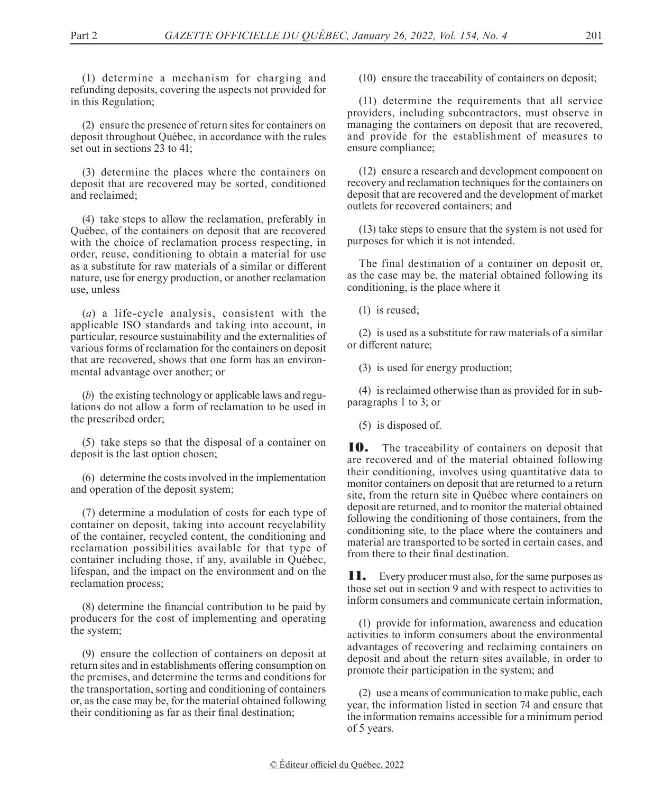(1) determine a mechanism for charging and refunding deposits, covering the aspects not provided for in this Regulation;

(2) ensure the presence of return sites for containers on deposit throughout Québec, in accordance with the rules set out in sections 23 to 41;

(3) determine the places where the containers on deposit that are recovered may be sorted, conditioned and reclaimed;

(4) take steps to allow the reclamation, preferably in Québec, of the containers on deposit that are recovered with the choice of reclamation process respecting, in order, reuse, conditioning to obtain a material for use as a substitute for raw materials of a similar or different nature, use for energy production, or another reclamation use, unless

(*a*) a life-cycle analysis, consistent with the applicable ISO standards and taking into account, in particular, resource sustainability and the externalities of various forms of reclamation for the containers on deposit that are recovered, shows that one form has an environmental advantage over another; or

(*b*) the existing technology or applicable laws and regulations do not allow a form of reclamation to be used in the prescribed order;

(5) take steps so that the disposal of a container on deposit is the last option chosen;

(6) determine the costs involved in the implementation and operation of the deposit system;

(7) determine a modulation of costs for each type of container on deposit, taking into account recyclability of the container, recycled content, the conditioning and reclamation possibilities available for that type of container including those, if any, available in Québec, lifespan, and the impact on the environment and on the reclamation process;

(8) determine the financial contribution to be paid by producers for the cost of implementing and operating the system;

(9) ensure the collection of containers on deposit at return sites and in establishments offering consumption on the premises, and determine the terms and conditions for the transportation, sorting and conditioning of containers or, as the case may be, for the material obtained following their conditioning as far as their final destination;

(10) ensure the traceability of containers on deposit;

(11) determine the requirements that all service providers, including subcontractors, must observe in managing the containers on deposit that are recovered, and provide for the establishment of measures to ensure compliance;

(12) ensure a research and development component on recovery and reclamation techniques for the containers on deposit that are recovered and the development of market outlets for recovered containers; and

(13) take steps to ensure that the system is not used for purposes for which it is not intended.

The final destination of a container on deposit or, as the case may be, the material obtained following its conditioning, is the place where it

(1) is reused;

(2) is used as a substitute for raw materials of a similar or different nature;

(3) is used for energy production;

(4) is reclaimed otherwise than as provided for in subparagraphs 1 to 3; or

(5) is disposed of.

**10.** The traceability of containers on deposit that are recovered and of the material obtained following their conditioning, involves using quantitative data to monitor containers on deposit that are returned to a return site, from the return site in Québec where containers on deposit are returned, and to monitor the material obtained following the conditioning of those containers, from the conditioning site, to the place where the containers and material are transported to be sorted in certain cases, and from there to their final destination.

**11.** Every producer must also, for the same purposes as those set out in section 9 and with respect to activities to inform consumers and communicate certain information,

(1) provide for information, awareness and education activities to inform consumers about the environmental advantages of recovering and reclaiming containers on deposit and about the return sites available, in order to promote their participation in the system; and

(2) use a means of communication to make public, each year, the information listed in section 74 and ensure that the information remains accessible for a minimum period of 5 years.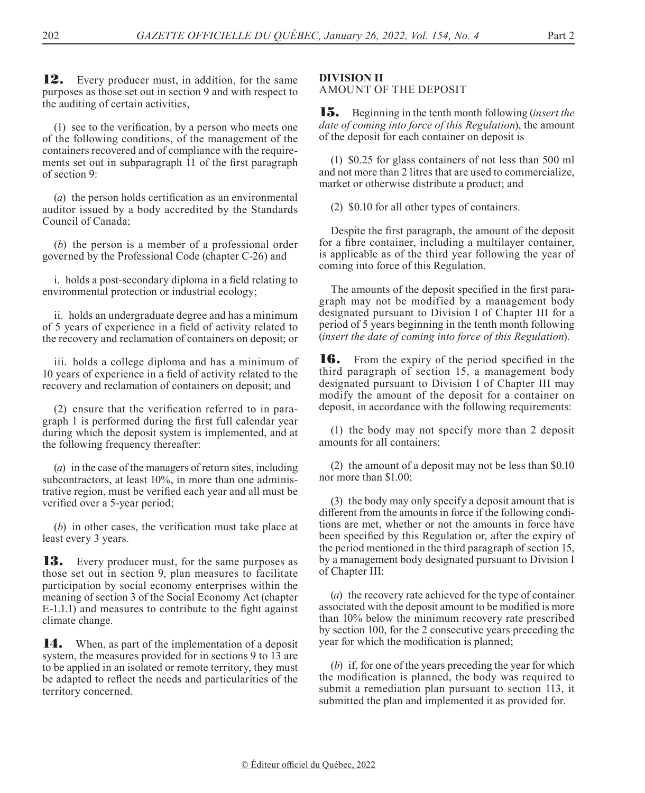**12.** Every producer must, in addition, for the same purposes as those set out in section 9 and with respect to the auditing of certain activities,

(1) see to the verification, by a person who meets one of the following conditions, of the management of the containers recovered and of compliance with the requirements set out in subparagraph 11 of the first paragraph of section 9:

(*a*) the person holds certification as an environmental auditor issued by a body accredited by the Standards Council of Canada;

(*b*) the person is a member of a professional order governed by the Professional Code (chapter C-26) and

i. holds a post-secondary diploma in a field relating to environmental protection or industrial ecology;

ii. holds an undergraduate degree and has a minimum of 5 years of experience in a field of activity related to the recovery and reclamation of containers on deposit; or

iii. holds a college diploma and has a minimum of 10 years of experience in a field of activity related to the recovery and reclamation of containers on deposit; and

(2) ensure that the verification referred to in paragraph 1 is performed during the first full calendar year during which the deposit system is implemented, and at the following frequency thereafter:

(*a*) in the case of the managers of return sites, including subcontractors, at least 10%, in more than one administrative region, must be verified each year and all must be verified over a 5-year period;

(*b*) in other cases, the verification must take place at least every 3 years.

**13.** Every producer must, for the same purposes as those set out in section 9, plan measures to facilitate participation by social economy enterprises within the meaning of section 3 of the Social Economy Act (chapter E-1.1.1) and measures to contribute to the fight against climate change.

14. When, as part of the implementation of a deposit system, the measures provided for in sections 9 to 13 are to be applied in an isolated or remote territory, they must be adapted to reflect the needs and particularities of the territory concerned.

## **DIVISION II**

AMOUNT OF THE DEPOSIT

15. Beginning in the tenth month following (*insert the date of coming into force of this Regulation*), the amount of the deposit for each container on deposit is

(1) \$0.25 for glass containers of not less than 500 ml and not more than 2 litres that are used to commercialize, market or otherwise distribute a product; and

(2) \$0.10 for all other types of containers.

Despite the first paragraph, the amount of the deposit for a fibre container, including a multilayer container, is applicable as of the third year following the year of coming into force of this Regulation.

The amounts of the deposit specified in the first paragraph may not be modified by a management body designated pursuant to Division I of Chapter III for a period of 5 years beginning in the tenth month following (*insert the date of coming into force of this Regulation*).

**16.** From the expiry of the period specified in the third paragraph of section 15, a management body designated pursuant to Division I of Chapter III may modify the amount of the deposit for a container on deposit, in accordance with the following requirements:

(1) the body may not specify more than 2 deposit amounts for all containers;

(2) the amount of a deposit may not be less than \$0.10 nor more than \$1.00;

(3) the body may only specify a deposit amount that is different from the amounts in force if the following conditions are met, whether or not the amounts in force have been specified by this Regulation or, after the expiry of the period mentioned in the third paragraph of section 15, by a management body designated pursuant to Division I of Chapter III:

(*a*) the recovery rate achieved for the type of container associated with the deposit amount to be modified is more than 10% below the minimum recovery rate prescribed by section 100, for the 2 consecutive years preceding the year for which the modification is planned;

(*b*) if, for one of the years preceding the year for which the modification is planned, the body was required to submit a remediation plan pursuant to section 113, it submitted the plan and implemented it as provided for.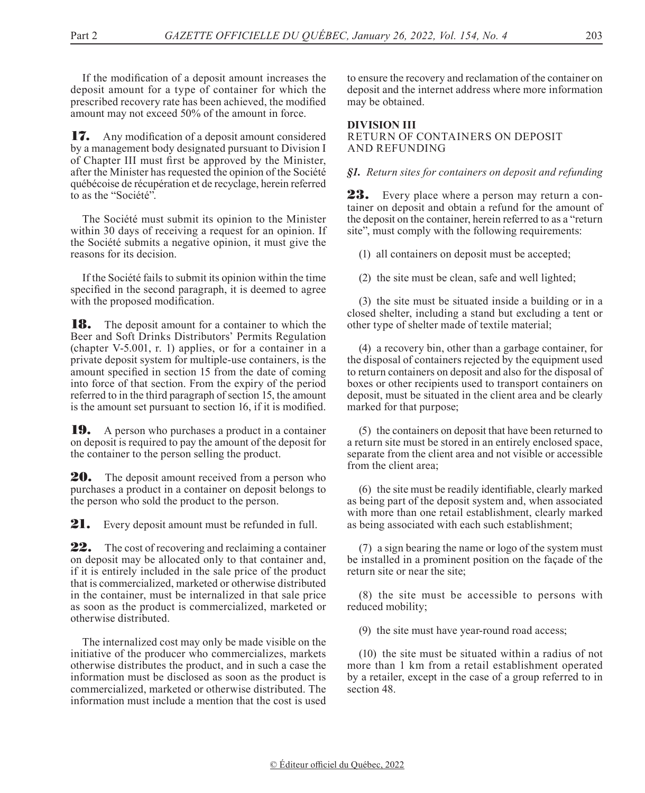If the modification of a deposit amount increases the deposit amount for a type of container for which the prescribed recovery rate has been achieved, the modified amount may not exceed 50% of the amount in force.

17. Any modification of a deposit amount considered by a management body designated pursuant to Division I of Chapter III must first be approved by the Minister, after the Minister has requested the opinion of the Société québécoise de récupération et de recyclage, herein referred to as the "Société".

The Société must submit its opinion to the Minister within 30 days of receiving a request for an opinion. If the Société submits a negative opinion, it must give the reasons for its decision.

If the Société fails to submit its opinion within the time specified in the second paragraph, it is deemed to agree with the proposed modification.

**18.** The deposit amount for a container to which the Beer and Soft Drinks Distributors' Permits Regulation (chapter V-5.001, r. 1) applies, or for a container in a private deposit system for multiple-use containers, is the amount specified in section 15 from the date of coming into force of that section. From the expiry of the period referred to in the third paragraph of section 15, the amount is the amount set pursuant to section 16, if it is modified.

19. A person who purchases a product in a container on deposit is required to pay the amount of the deposit for the container to the person selling the product.

**20.** The deposit amount received from a person who purchases a product in a container on deposit belongs to the person who sold the product to the person.

**21.** Every deposit amount must be refunded in full.

**22.** The cost of recovering and reclaiming a container on deposit may be allocated only to that container and, if it is entirely included in the sale price of the product that is commercialized, marketed or otherwise distributed in the container, must be internalized in that sale price as soon as the product is commercialized, marketed or otherwise distributed.

The internalized cost may only be made visible on the initiative of the producer who commercializes, markets otherwise distributes the product, and in such a case the information must be disclosed as soon as the product is commercialized, marketed or otherwise distributed. The information must include a mention that the cost is used

to ensure the recovery and reclamation of the container on deposit and the internet address where more information may be obtained.

### **DIVISION III** RETURN OF CONTAINERS ON DEPOSIT AND REFUNDING

### *§1. Return sites for containers on deposit and refunding*

23. Every place where a person may return a container on deposit and obtain a refund for the amount of the deposit on the container, herein referred to as a "return site", must comply with the following requirements:

(1) all containers on deposit must be accepted;

(2) the site must be clean, safe and well lighted;

(3) the site must be situated inside a building or in a closed shelter, including a stand but excluding a tent or other type of shelter made of textile material;

(4) a recovery bin, other than a garbage container, for the disposal of containers rejected by the equipment used to return containers on deposit and also for the disposal of boxes or other recipients used to transport containers on deposit, must be situated in the client area and be clearly marked for that purpose;

(5) the containers on deposit that have been returned to a return site must be stored in an entirely enclosed space, separate from the client area and not visible or accessible from the client area;

(6) the site must be readily identifiable, clearly marked as being part of the deposit system and, when associated with more than one retail establishment, clearly marked as being associated with each such establishment;

(7) a sign bearing the name or logo of the system must be installed in a prominent position on the façade of the return site or near the site;

(8) the site must be accessible to persons with reduced mobility;

(9) the site must have year-round road access;

(10) the site must be situated within a radius of not more than 1 km from a retail establishment operated by a retailer, except in the case of a group referred to in section 48.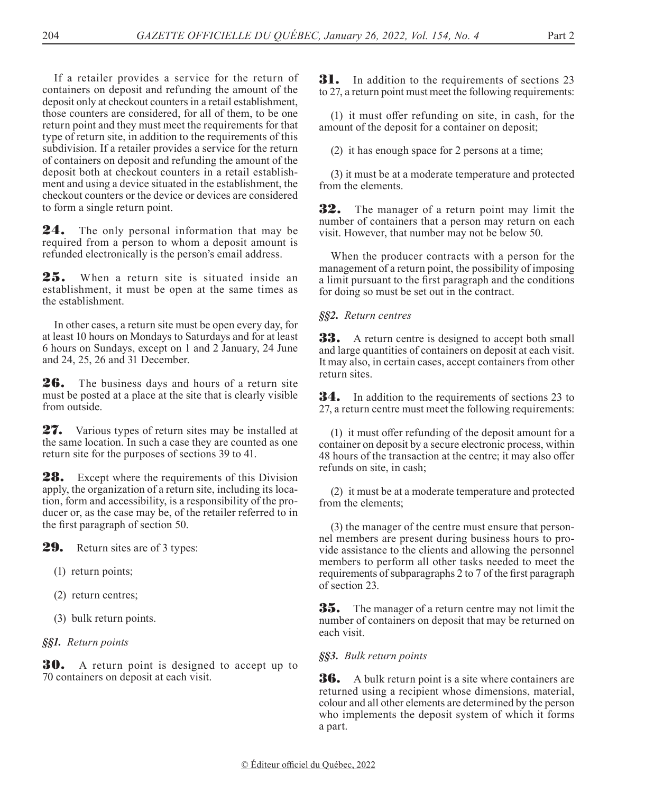If a retailer provides a service for the return of containers on deposit and refunding the amount of the deposit only at checkout counters in a retail establishment, those counters are considered, for all of them, to be one return point and they must meet the requirements for that type of return site, in addition to the requirements of this subdivision. If a retailer provides a service for the return of containers on deposit and refunding the amount of the deposit both at checkout counters in a retail establishment and using a device situated in the establishment, the checkout counters or the device or devices are considered to form a single return point.

24. The only personal information that may be required from a person to whom a deposit amount is refunded electronically is the person's email address.

25. When a return site is situated inside an establishment, it must be open at the same times as the establishment.

In other cases, a return site must be open every day, for at least 10 hours on Mondays to Saturdays and for at least 6 hours on Sundays, except on 1 and 2 January, 24 June and 24, 25, 26 and 31 December.

26. The business days and hours of a return site must be posted at a place at the site that is clearly visible from outside.

27. Various types of return sites may be installed at the same location. In such a case they are counted as one return site for the purposes of sections 39 to 41.

28. Except where the requirements of this Division apply, the organization of a return site, including its location, form and accessibility, is a responsibility of the producer or, as the case may be, of the retailer referred to in the first paragraph of section 50.

**29.** Return sites are of 3 types:

- (1) return points;
- (2) return centres;
- (3) bulk return points.

## *§§1. Return points*

**30.** A return point is designed to accept up to 70 containers on deposit at each visit.

**31.** In addition to the requirements of sections 23 to 27, a return point must meet the following requirements:

(1) it must offer refunding on site, in cash, for the amount of the deposit for a container on deposit;

(2) it has enough space for 2 persons at a time;

(3) it must be at a moderate temperature and protected from the elements.

32. The manager of a return point may limit the number of containers that a person may return on each visit. However, that number may not be below 50.

When the producer contracts with a person for the management of a return point, the possibility of imposing a limit pursuant to the first paragraph and the conditions for doing so must be set out in the contract.

### *§§2. Return centres*

**33.** A return centre is designed to accept both small and large quantities of containers on deposit at each visit. It may also, in certain cases, accept containers from other return sites.

**34.** In addition to the requirements of sections 23 to 27, a return centre must meet the following requirements:

(1) it must offer refunding of the deposit amount for a container on deposit by a secure electronic process, within 48 hours of the transaction at the centre; it may also offer refunds on site, in cash;

(2) it must be at a moderate temperature and protected from the elements;

(3) the manager of the centre must ensure that personnel members are present during business hours to provide assistance to the clients and allowing the personnel members to perform all other tasks needed to meet the requirements of subparagraphs 2 to 7 of the first paragraph of section 23.

**35.** The manager of a return centre may not limit the number of containers on deposit that may be returned on each visit.

*§§3. Bulk return points*

**36.** A bulk return point is a site where containers are returned using a recipient whose dimensions, material, colour and all other elements are determined by the person who implements the deposit system of which it forms a part.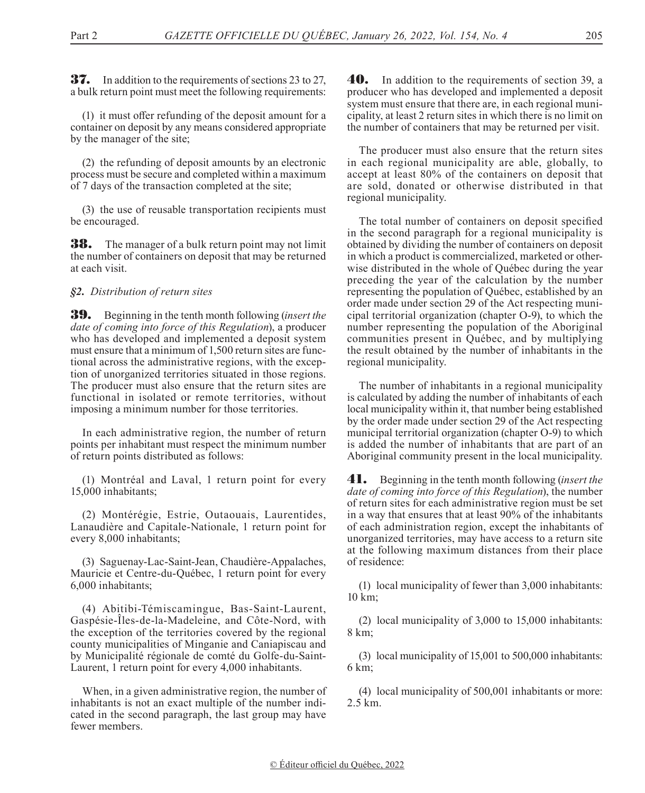**37.** In addition to the requirements of sections 23 to 27, a bulk return point must meet the following requirements:

(1) it must offer refunding of the deposit amount for a container on deposit by any means considered appropriate by the manager of the site;

(2) the refunding of deposit amounts by an electronic process must be secure and completed within a maximum of 7 days of the transaction completed at the site;

(3) the use of reusable transportation recipients must be encouraged.

**38.** The manager of a bulk return point may not limit the number of containers on deposit that may be returned at each visit.

*§2. Distribution of return sites*

39. Beginning in the tenth month following (*insert the date of coming into force of this Regulation*), a producer who has developed and implemented a deposit system must ensure that a minimum of 1,500 return sites are functional across the administrative regions, with the exception of unorganized territories situated in those regions. The producer must also ensure that the return sites are functional in isolated or remote territories, without imposing a minimum number for those territories.

In each administrative region, the number of return points per inhabitant must respect the minimum number of return points distributed as follows:

(1) Montréal and Laval, 1 return point for every 15,000 inhabitants;

(2) Montérégie, Estrie, Outaouais, Laurentides, Lanaudière and Capitale-Nationale, 1 return point for every 8,000 inhabitants;

(3) Saguenay-Lac-Saint-Jean, Chaudière-Appalaches, Mauricie et Centre-du-Québec, 1 return point for every 6,000 inhabitants;

(4) Abitibi-Témiscamingue, Bas-Saint-Laurent, Gaspésie-Îles-de-la-Madeleine, and Côte-Nord, with the exception of the territories covered by the regional county municipalities of Minganie and Caniapiscau and by Municipalité régionale de comté du Golfe-du-Saint-Laurent, 1 return point for every 4,000 inhabitants.

When, in a given administrative region, the number of inhabitants is not an exact multiple of the number indicated in the second paragraph, the last group may have fewer members.

40. In addition to the requirements of section 39, a producer who has developed and implemented a deposit system must ensure that there are, in each regional municipality, at least 2 return sites in which there is no limit on the number of containers that may be returned per visit.

The producer must also ensure that the return sites in each regional municipality are able, globally, to accept at least 80% of the containers on deposit that are sold, donated or otherwise distributed in that regional municipality.

The total number of containers on deposit specified in the second paragraph for a regional municipality is obtained by dividing the number of containers on deposit in which a product is commercialized, marketed or otherwise distributed in the whole of Québec during the year preceding the year of the calculation by the number representing the population of Québec, established by an order made under section 29 of the Act respecting municipal territorial organization (chapter O-9), to which the number representing the population of the Aboriginal communities present in Québec, and by multiplying the result obtained by the number of inhabitants in the regional municipality.

The number of inhabitants in a regional municipality is calculated by adding the number of inhabitants of each local municipality within it, that number being established by the order made under section 29 of the Act respecting municipal territorial organization (chapter O-9) to which is added the number of inhabitants that are part of an Aboriginal community present in the local municipality.

41. Beginning in the tenth month following (*insert the date of coming into force of this Regulation*), the number of return sites for each administrative region must be set in a way that ensures that at least 90% of the inhabitants of each administration region, except the inhabitants of unorganized territories, may have access to a return site at the following maximum distances from their place of residence:

(1) local municipality of fewer than 3,000 inhabitants: 10 km;

(2) local municipality of 3,000 to 15,000 inhabitants: 8 km;

(3) local municipality of 15,001 to 500,000 inhabitants: 6 km;

(4) local municipality of 500,001 inhabitants or more: 2.5 km.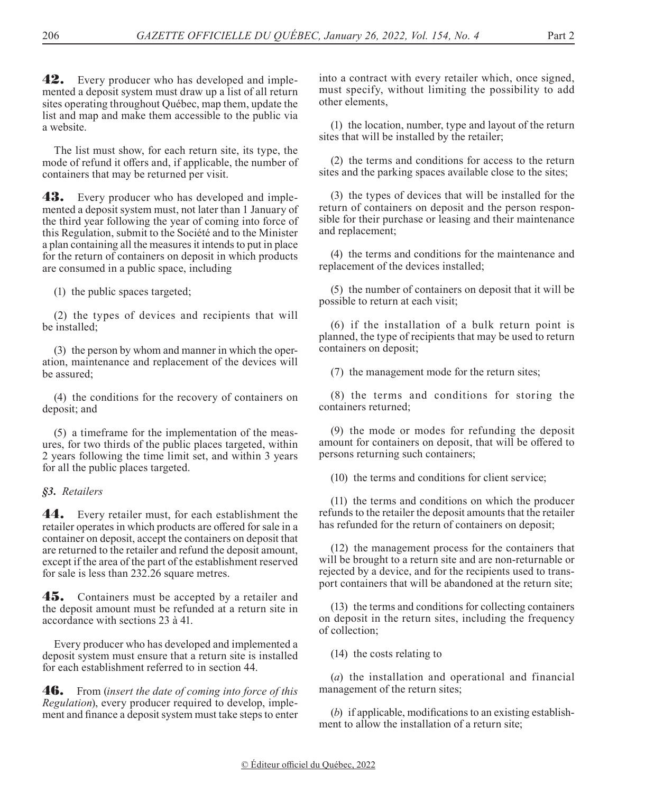**42.** Every producer who has developed and implemented a deposit system must draw up a list of all return sites operating throughout Québec, map them, update the list and map and make them accessible to the public via a website.

The list must show, for each return site, its type, the mode of refund it offers and, if applicable, the number of containers that may be returned per visit.

**43.** Every producer who has developed and implemented a deposit system must, not later than 1 January of the third year following the year of coming into force of this Regulation, submit to the Société and to the Minister a plan containing all the measures it intends to put in place for the return of containers on deposit in which products are consumed in a public space, including

(1) the public spaces targeted;

(2) the types of devices and recipients that will be installed;

(3) the person by whom and manner in which the operation, maintenance and replacement of the devices will be assured;

(4) the conditions for the recovery of containers on deposit; and

(5) a timeframe for the implementation of the measures, for two thirds of the public places targeted, within 2 years following the time limit set, and within 3 years for all the public places targeted.

### *§3. Retailers*

44. Every retailer must, for each establishment the retailer operates in which products are offered for sale in a container on deposit, accept the containers on deposit that are returned to the retailer and refund the deposit amount, except if the area of the part of the establishment reserved for sale is less than 232.26 square metres.

**45.** Containers must be accepted by a retailer and the deposit amount must be refunded at a return site in accordance with sections 23 à 41.

Every producer who has developed and implemented a deposit system must ensure that a return site is installed for each establishment referred to in section 44.

46. From (*insert the date of coming into force of this Regulation*), every producer required to develop, implement and finance a deposit system must take steps to enter

into a contract with every retailer which, once signed, must specify, without limiting the possibility to add other elements,

(1) the location, number, type and layout of the return sites that will be installed by the retailer;

(2) the terms and conditions for access to the return sites and the parking spaces available close to the sites;

(3) the types of devices that will be installed for the return of containers on deposit and the person responsible for their purchase or leasing and their maintenance and replacement;

(4) the terms and conditions for the maintenance and replacement of the devices installed;

(5) the number of containers on deposit that it will be possible to return at each visit;

(6) if the installation of a bulk return point is planned, the type of recipients that may be used to return containers on deposit;

(7) the management mode for the return sites;

(8) the terms and conditions for storing the containers returned;

(9) the mode or modes for refunding the deposit amount for containers on deposit, that will be offered to persons returning such containers;

(10) the terms and conditions for client service;

(11) the terms and conditions on which the producer refunds to the retailer the deposit amounts that the retailer has refunded for the return of containers on deposit;

(12) the management process for the containers that will be brought to a return site and are non-returnable or rejected by a device, and for the recipients used to transport containers that will be abandoned at the return site;

(13) the terms and conditions for collecting containers on deposit in the return sites, including the frequency of collection;

(14) the costs relating to

(*a*) the installation and operational and financial management of the return sites;

(*b*) if applicable, modifications to an existing establishment to allow the installation of a return site;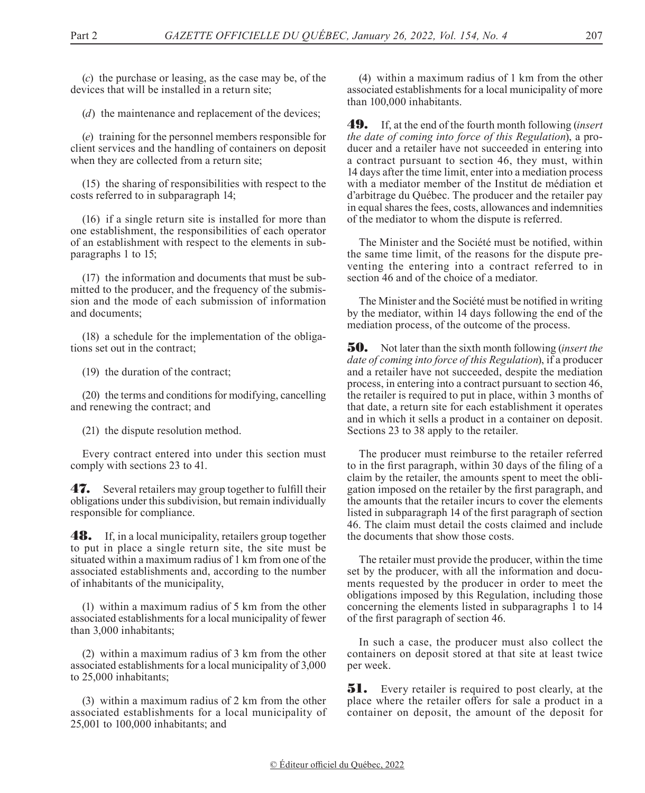(*c*) the purchase or leasing, as the case may be, of the devices that will be installed in a return site;

(*d*) the maintenance and replacement of the devices;

(*e*) training for the personnel members responsible for client services and the handling of containers on deposit when they are collected from a return site;

(15) the sharing of responsibilities with respect to the costs referred to in subparagraph 14;

(16) if a single return site is installed for more than one establishment, the responsibilities of each operator of an establishment with respect to the elements in subparagraphs 1 to 15;

(17) the information and documents that must be submitted to the producer, and the frequency of the submission and the mode of each submission of information and documents;

(18) a schedule for the implementation of the obligations set out in the contract;

(19) the duration of the contract;

(20) the terms and conditions for modifying, cancelling and renewing the contract; and

(21) the dispute resolution method.

Every contract entered into under this section must comply with sections 23 to 41.

**47.** Several retailers may group together to fulfill their obligations under this subdivision, but remain individually responsible for compliance.

**48.** If, in a local municipality, retailers group together to put in place a single return site, the site must be situated within a maximum radius of 1 km from one of the associated establishments and, according to the number of inhabitants of the municipality,

(1) within a maximum radius of 5 km from the other associated establishments for a local municipality of fewer than 3,000 inhabitants;

(2) within a maximum radius of 3 km from the other associated establishments for a local municipality of 3,000 to 25,000 inhabitants;

(3) within a maximum radius of 2 km from the other associated establishments for a local municipality of 25,001 to 100,000 inhabitants; and

(4) within a maximum radius of 1 km from the other associated establishments for a local municipality of more than 100,000 inhabitants.

49. If, at the end of the fourth month following (*insert the date of coming into force of this Regulation*), a producer and a retailer have not succeeded in entering into a contract pursuant to section 46, they must, within 14 days after the time limit, enter into a mediation process with a mediator member of the Institut de médiation et d'arbitrage du Québec. The producer and the retailer pay in equal shares the fees, costs, allowances and indemnities of the mediator to whom the dispute is referred.

The Minister and the Société must be notified, within the same time limit, of the reasons for the dispute preventing the entering into a contract referred to in section 46 and of the choice of a mediator.

The Minister and the Société must be notified in writing by the mediator, within 14 days following the end of the mediation process, of the outcome of the process.

50. Not later than the sixth month following (*insert the date of coming into force of this Regulation*), if a producer and a retailer have not succeeded, despite the mediation process, in entering into a contract pursuant to section 46, the retailer is required to put in place, within 3 months of that date, a return site for each establishment it operates and in which it sells a product in a container on deposit. Sections 23 to 38 apply to the retailer.

The producer must reimburse to the retailer referred to in the first paragraph, within 30 days of the filing of a claim by the retailer, the amounts spent to meet the obligation imposed on the retailer by the first paragraph, and the amounts that the retailer incurs to cover the elements listed in subparagraph 14 of the first paragraph of section 46. The claim must detail the costs claimed and include the documents that show those costs.

The retailer must provide the producer, within the time set by the producer, with all the information and documents requested by the producer in order to meet the obligations imposed by this Regulation, including those concerning the elements listed in subparagraphs 1 to 14 of the first paragraph of section 46.

In such a case, the producer must also collect the containers on deposit stored at that site at least twice per week.

**51.** Every retailer is required to post clearly, at the place where the retailer offers for sale a product in a container on deposit, the amount of the deposit for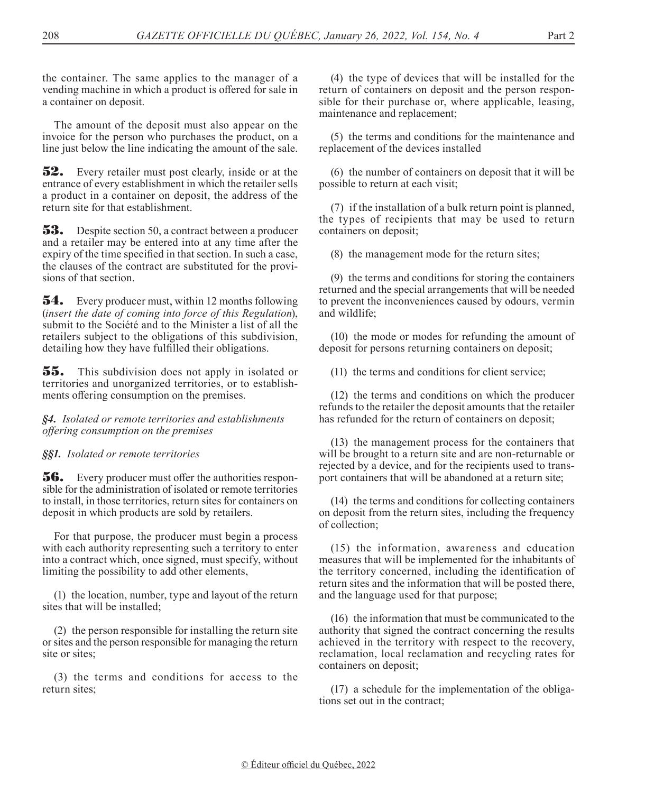the container. The same applies to the manager of a vending machine in which a product is offered for sale in a container on deposit.

The amount of the deposit must also appear on the invoice for the person who purchases the product, on a line just below the line indicating the amount of the sale.

**52.** Every retailer must post clearly, inside or at the entrance of every establishment in which the retailer sells a product in a container on deposit, the address of the return site for that establishment.

**53.** Despite section 50, a contract between a producer and a retailer may be entered into at any time after the expiry of the time specified in that section. In such a case, the clauses of the contract are substituted for the provisions of that section.

**54.** Every producer must, within 12 months following (*insert the date of coming into force of this Regulation*), submit to the Société and to the Minister a list of all the retailers subject to the obligations of this subdivision, detailing how they have fulfilled their obligations.

55. This subdivision does not apply in isolated or territories and unorganized territories, or to establishments offering consumption on the premises.

*§4. Isolated or remote territories and establishments offering consumption on the premises*

### *§§1. Isolated or remote territories*

**56.** Every producer must offer the authorities responsible for the administration of isolated or remote territories to install, in those territories, return sites for containers on deposit in which products are sold by retailers.

For that purpose, the producer must begin a process with each authority representing such a territory to enter into a contract which, once signed, must specify, without limiting the possibility to add other elements,

(1) the location, number, type and layout of the return sites that will be installed;

(2) the person responsible for installing the return site or sites and the person responsible for managing the return site or sites;

(3) the terms and conditions for access to the return sites;

(4) the type of devices that will be installed for the return of containers on deposit and the person responsible for their purchase or, where applicable, leasing, maintenance and replacement;

(5) the terms and conditions for the maintenance and replacement of the devices installed

(6) the number of containers on deposit that it will be possible to return at each visit;

(7) if the installation of a bulk return point is planned, the types of recipients that may be used to return containers on deposit;

(8) the management mode for the return sites;

(9) the terms and conditions for storing the containers returned and the special arrangements that will be needed to prevent the inconveniences caused by odours, vermin and wildlife;

(10) the mode or modes for refunding the amount of deposit for persons returning containers on deposit;

(11) the terms and conditions for client service;

(12) the terms and conditions on which the producer refunds to the retailer the deposit amounts that the retailer has refunded for the return of containers on deposit;

(13) the management process for the containers that will be brought to a return site and are non-returnable or rejected by a device, and for the recipients used to transport containers that will be abandoned at a return site;

(14) the terms and conditions for collecting containers on deposit from the return sites, including the frequency of collection;

(15) the information, awareness and education measures that will be implemented for the inhabitants of the territory concerned, including the identification of return sites and the information that will be posted there, and the language used for that purpose;

(16) the information that must be communicated to the authority that signed the contract concerning the results achieved in the territory with respect to the recovery, reclamation, local reclamation and recycling rates for containers on deposit;

(17) a schedule for the implementation of the obligations set out in the contract;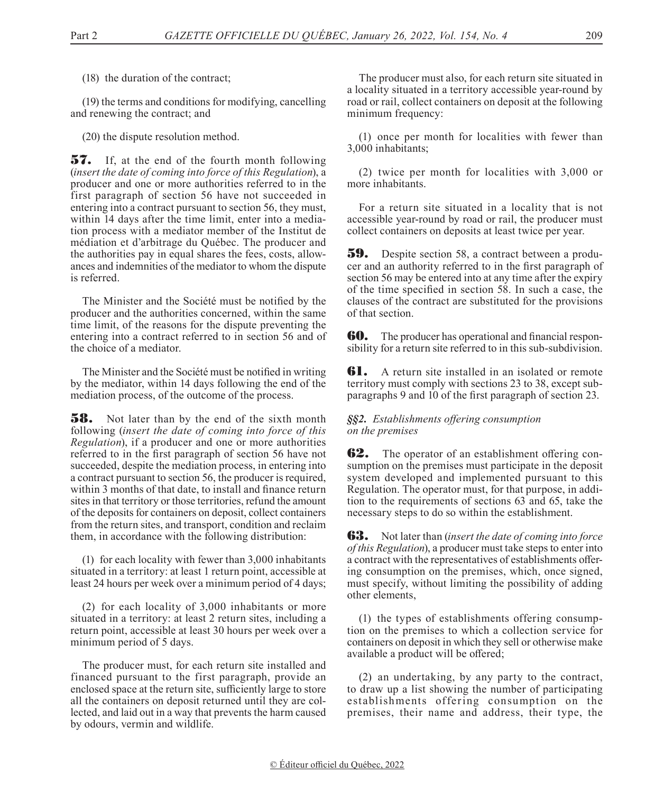(18) the duration of the contract;

(19) the terms and conditions for modifying, cancelling and renewing the contract; and

(20) the dispute resolution method.

**57.** If, at the end of the fourth month following (*insert the date of coming into force of this Regulation*), a producer and one or more authorities referred to in the first paragraph of section 56 have not succeeded in entering into a contract pursuant to section 56, they must, within 14 days after the time limit, enter into a mediation process with a mediator member of the Institut de médiation et d'arbitrage du Québec. The producer and the authorities pay in equal shares the fees, costs, allowances and indemnities of the mediator to whom the dispute is referred.

The Minister and the Société must be notified by the producer and the authorities concerned, within the same time limit, of the reasons for the dispute preventing the entering into a contract referred to in section 56 and of the choice of a mediator.

The Minister and the Société must be notified in writing by the mediator, within 14 days following the end of the mediation process, of the outcome of the process.

**58.** Not later than by the end of the sixth month following (*insert the date of coming into force of this Regulation*), if a producer and one or more authorities referred to in the first paragraph of section 56 have not succeeded, despite the mediation process, in entering into a contract pursuant to section 56, the producer is required, within 3 months of that date, to install and finance return sites in that territory or those territories, refund the amount of the deposits for containers on deposit, collect containers from the return sites, and transport, condition and reclaim them, in accordance with the following distribution:

(1) for each locality with fewer than 3,000 inhabitants situated in a territory: at least 1 return point, accessible at least 24 hours per week over a minimum period of 4 days;

(2) for each locality of 3,000 inhabitants or more situated in a territory: at least 2 return sites, including a return point, accessible at least 30 hours per week over a minimum period of 5 days.

The producer must, for each return site installed and financed pursuant to the first paragraph, provide an enclosed space at the return site, sufficiently large to store all the containers on deposit returned until they are collected, and laid out in a way that prevents the harm caused by odours, vermin and wildlife.

The producer must also, for each return site situated in a locality situated in a territory accessible year-round by road or rail, collect containers on deposit at the following minimum frequency:

(1) once per month for localities with fewer than 3,000 inhabitants;

(2) twice per month for localities with 3,000 or more inhabitants.

For a return site situated in a locality that is not accessible year-round by road or rail, the producer must collect containers on deposits at least twice per year.

**59.** Despite section 58, a contract between a producer and an authority referred to in the first paragraph of section 56 may be entered into at any time after the expiry of the time specified in section 58. In such a case, the clauses of the contract are substituted for the provisions of that section.

**60.** The producer has operational and financial responsibility for a return site referred to in this sub-subdivision.

**61.** A return site installed in an isolated or remote territory must comply with sections 23 to 38, except subparagraphs 9 and 10 of the first paragraph of section 23.

### *§§2. Establishments offering consumption on the premises*

**62.** The operator of an establishment offering consumption on the premises must participate in the deposit system developed and implemented pursuant to this Regulation. The operator must, for that purpose, in addition to the requirements of sections 63 and 65, take the necessary steps to do so within the establishment.

63. Not later than (*insert the date of coming into force of this Regulation*), a producer must take steps to enter into a contract with the representatives of establishments offering consumption on the premises, which, once signed, must specify, without limiting the possibility of adding other elements,

(1) the types of establishments offering consumption on the premises to which a collection service for containers on deposit in which they sell or otherwise make available a product will be offered;

(2) an undertaking, by any party to the contract, to draw up a list showing the number of participating establishments offering consumption on the premises, their name and address, their type, the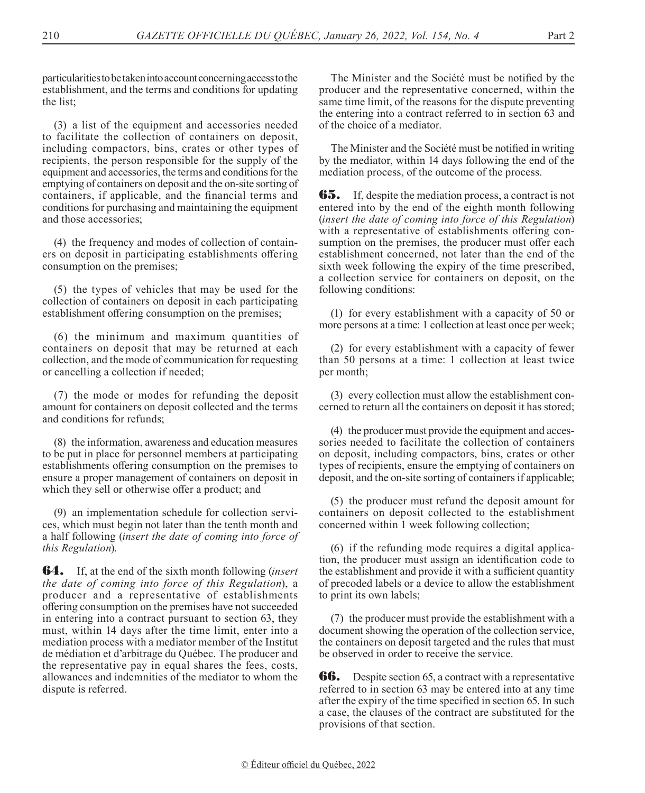particularities to be taken into account concerning access to the establishment, and the terms and conditions for updating the list;

(3) a list of the equipment and accessories needed to facilitate the collection of containers on deposit, including compactors, bins, crates or other types of recipients, the person responsible for the supply of the equipment and accessories, the terms and conditions for the emptying of containers on deposit and the on-site sorting of containers, if applicable, and the financial terms and conditions for purchasing and maintaining the equipment and those accessories;

(4) the frequency and modes of collection of containers on deposit in participating establishments offering consumption on the premises;

(5) the types of vehicles that may be used for the collection of containers on deposit in each participating establishment offering consumption on the premises;

(6) the minimum and maximum quantities of containers on deposit that may be returned at each collection, and the mode of communication for requesting or cancelling a collection if needed;

(7) the mode or modes for refunding the deposit amount for containers on deposit collected and the terms and conditions for refunds;

(8) the information, awareness and education measures to be put in place for personnel members at participating establishments offering consumption on the premises to ensure a proper management of containers on deposit in which they sell or otherwise offer a product; and

(9) an implementation schedule for collection services, which must begin not later than the tenth month and a half following (*insert the date of coming into force of this Regulation*).

64. If, at the end of the sixth month following (*insert the date of coming into force of this Regulation*), a producer and a representative of establishments offering consumption on the premises have not succeeded in entering into a contract pursuant to section 63, they must, within 14 days after the time limit, enter into a mediation process with a mediator member of the Institut de médiation et d'arbitrage du Québec. The producer and the representative pay in equal shares the fees, costs, allowances and indemnities of the mediator to whom the dispute is referred.

The Minister and the Société must be notified by the producer and the representative concerned, within the same time limit, of the reasons for the dispute preventing the entering into a contract referred to in section 63 and of the choice of a mediator.

The Minister and the Société must be notified in writing by the mediator, within 14 days following the end of the mediation process, of the outcome of the process.

**65.** If, despite the mediation process, a contract is not entered into by the end of the eighth month following (*insert the date of coming into force of this Regulation*) with a representative of establishments offering consumption on the premises, the producer must offer each establishment concerned, not later than the end of the sixth week following the expiry of the time prescribed, a collection service for containers on deposit, on the following conditions:

(1) for every establishment with a capacity of 50 or more persons at a time: 1 collection at least once per week;

(2) for every establishment with a capacity of fewer than 50 persons at a time: 1 collection at least twice per month;

(3) every collection must allow the establishment concerned to return all the containers on deposit it has stored;

(4) the producer must provide the equipment and accessories needed to facilitate the collection of containers on deposit, including compactors, bins, crates or other types of recipients, ensure the emptying of containers on deposit, and the on-site sorting of containers if applicable;

(5) the producer must refund the deposit amount for containers on deposit collected to the establishment concerned within 1 week following collection;

(6) if the refunding mode requires a digital application, the producer must assign an identification code to the establishment and provide it with a sufficient quantity of precoded labels or a device to allow the establishment to print its own labels;

(7) the producer must provide the establishment with a document showing the operation of the collection service, the containers on deposit targeted and the rules that must be observed in order to receive the service.

**66.** Despite section 65, a contract with a representative referred to in section 63 may be entered into at any time after the expiry of the time specified in section 65. In such a case, the clauses of the contract are substituted for the provisions of that section.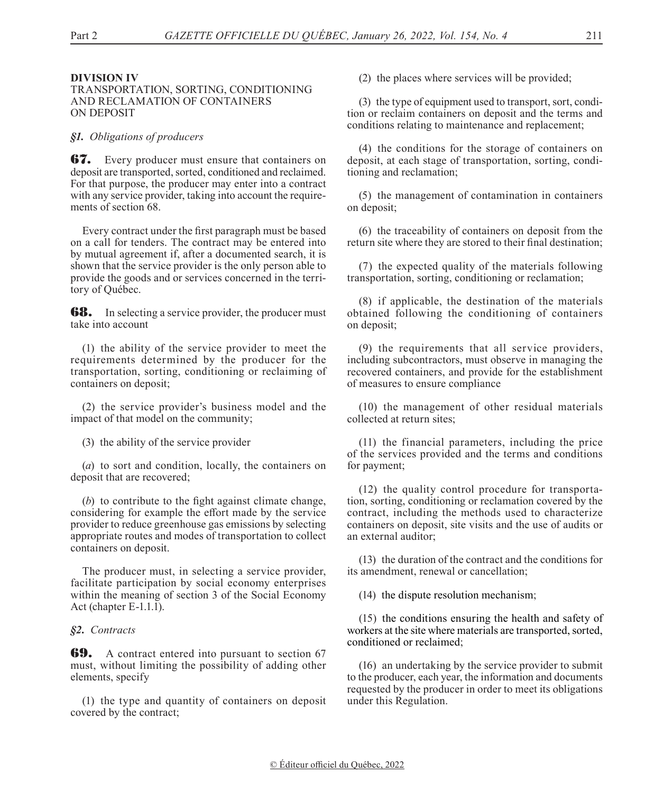### **DIVISION IV**

### TRANSPORTATION, SORTING, CONDITIONING AND RECLAMATION OF CONTAINERS ON DEPOSIT

### *§1. Obligations of producers*

**67.** Every producer must ensure that containers on deposit are transported, sorted, conditioned and reclaimed. For that purpose, the producer may enter into a contract with any service provider, taking into account the requirements of section 68.

Every contract under the first paragraph must be based on a call for tenders. The contract may be entered into by mutual agreement if, after a documented search, it is shown that the service provider is the only person able to provide the goods and or services concerned in the territory of Québec.

**68.** In selecting a service provider, the producer must take into account

(1) the ability of the service provider to meet the requirements determined by the producer for the transportation, sorting, conditioning or reclaiming of containers on deposit;

(2) the service provider's business model and the impact of that model on the community;

(3) the ability of the service provider

(*a*) to sort and condition, locally, the containers on deposit that are recovered;

(*b*) to contribute to the fight against climate change, considering for example the effort made by the service provider to reduce greenhouse gas emissions by selecting appropriate routes and modes of transportation to collect containers on deposit.

The producer must, in selecting a service provider, facilitate participation by social economy enterprises within the meaning of section 3 of the Social Economy Act (chapter E-1.1.1).

### *§2. Contracts*

**69.** A contract entered into pursuant to section 67 must, without limiting the possibility of adding other elements, specify

(1) the type and quantity of containers on deposit covered by the contract;

(2) the places where services will be provided;

(3) the type of equipment used to transport, sort, condition or reclaim containers on deposit and the terms and conditions relating to maintenance and replacement;

(4) the conditions for the storage of containers on deposit, at each stage of transportation, sorting, conditioning and reclamation;

(5) the management of contamination in containers on deposit;

(6) the traceability of containers on deposit from the return site where they are stored to their final destination;

(7) the expected quality of the materials following transportation, sorting, conditioning or reclamation;

(8) if applicable, the destination of the materials obtained following the conditioning of containers on deposit;

(9) the requirements that all service providers, including subcontractors, must observe in managing the recovered containers, and provide for the establishment of measures to ensure compliance

(10) the management of other residual materials collected at return sites;

(11) the financial parameters, including the price of the services provided and the terms and conditions for payment;

(12) the quality control procedure for transportation, sorting, conditioning or reclamation covered by the contract, including the methods used to characterize containers on deposit, site visits and the use of audits or an external auditor;

(13) the duration of the contract and the conditions for its amendment, renewal or cancellation;

(14) the dispute resolution mechanism;

(15) the conditions ensuring the health and safety of workers at the site where materials are transported, sorted, conditioned or reclaimed;

(16) an undertaking by the service provider to submit to the producer, each year, the information and documents requested by the producer in order to meet its obligations under this Regulation.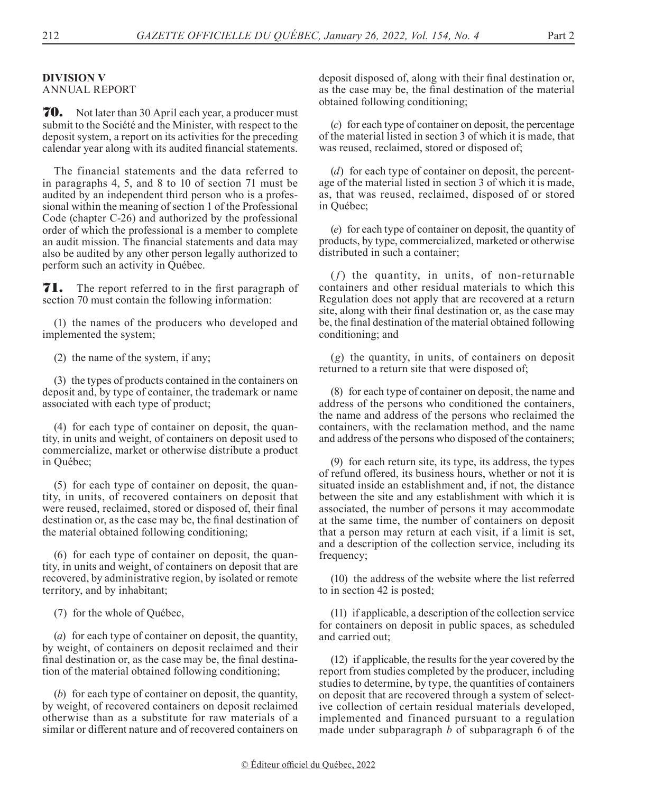# **DIVISION V**

ANNUAL REPORT

**70.** Not later than 30 April each year, a producer must submit to the Société and the Minister, with respect to the deposit system, a report on its activities for the preceding calendar year along with its audited financial statements.

The financial statements and the data referred to in paragraphs 4, 5, and 8 to 10 of section 71 must be audited by an independent third person who is a professional within the meaning of section 1 of the Professional Code (chapter C-26) and authorized by the professional order of which the professional is a member to complete an audit mission. The financial statements and data may also be audited by any other person legally authorized to perform such an activity in Québec.

**71.** The report referred to in the first paragraph of section 70 must contain the following information:

(1) the names of the producers who developed and implemented the system;

(2) the name of the system, if any;

(3) the types of products contained in the containers on deposit and, by type of container, the trademark or name associated with each type of product;

(4) for each type of container on deposit, the quantity, in units and weight, of containers on deposit used to commercialize, market or otherwise distribute a product in Québec;

(5) for each type of container on deposit, the quantity, in units, of recovered containers on deposit that were reused, reclaimed, stored or disposed of, their final destination or, as the case may be, the final destination of the material obtained following conditioning;

(6) for each type of container on deposit, the quantity, in units and weight, of containers on deposit that are recovered, by administrative region, by isolated or remote territory, and by inhabitant;

(7) for the whole of Québec,

(*a*) for each type of container on deposit, the quantity, by weight, of containers on deposit reclaimed and their final destination or, as the case may be, the final destination of the material obtained following conditioning;

(*b*) for each type of container on deposit, the quantity, by weight, of recovered containers on deposit reclaimed otherwise than as a substitute for raw materials of a similar or different nature and of recovered containers on

deposit disposed of, along with their final destination or, as the case may be, the final destination of the material obtained following conditioning;

(*c*) for each type of container on deposit, the percentage of the material listed in section 3 of which it is made, that was reused, reclaimed, stored or disposed of;

(*d*) for each type of container on deposit, the percentage of the material listed in section 3 of which it is made, as, that was reused, reclaimed, disposed of or stored in Québec;

(*e*) for each type of container on deposit, the quantity of products, by type, commercialized, marketed or otherwise distributed in such a container;

 $(f)$  the quantity, in units, of non-returnable containers and other residual materials to which this Regulation does not apply that are recovered at a return site, along with their final destination or, as the case may be, the final destination of the material obtained following conditioning; and

(*g*) the quantity, in units, of containers on deposit returned to a return site that were disposed of;

(8) for each type of container on deposit, the name and address of the persons who conditioned the containers, the name and address of the persons who reclaimed the containers, with the reclamation method, and the name and address of the persons who disposed of the containers;

(9) for each return site, its type, its address, the types of refund offered, its business hours, whether or not it is situated inside an establishment and, if not, the distance between the site and any establishment with which it is associated, the number of persons it may accommodate at the same time, the number of containers on deposit that a person may return at each visit, if a limit is set, and a description of the collection service, including its frequency;

(10) the address of the website where the list referred to in section 42 is posted;

(11) if applicable, a description of the collection service for containers on deposit in public spaces, as scheduled and carried out;

(12) if applicable, the results for the year covered by the report from studies completed by the producer, including studies to determine, by type, the quantities of containers on deposit that are recovered through a system of selective collection of certain residual materials developed, implemented and financed pursuant to a regulation made under subparagraph *b* of subparagraph 6 of the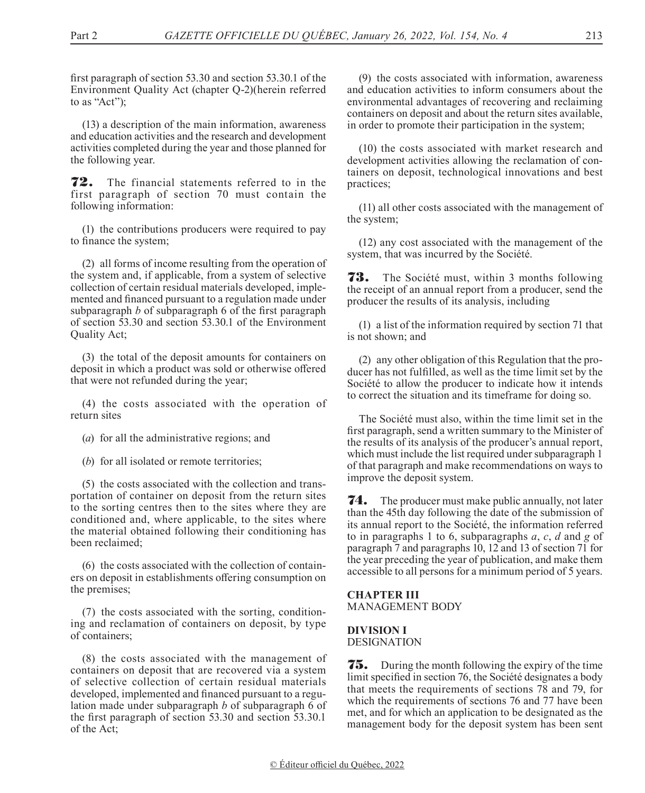first paragraph of section 53.30 and section 53.30.1 of the Environment Quality Act (chapter Q-2)(herein referred to as "Act");

(13) a description of the main information, awareness and education activities and the research and development activities completed during the year and those planned for the following year.

72. The financial statements referred to in the first paragraph of section 70 must contain the following information:

(1) the contributions producers were required to pay to finance the system;

(2) all forms of income resulting from the operation of the system and, if applicable, from a system of selective collection of certain residual materials developed, implemented and financed pursuant to a regulation made under subparagraph *b* of subparagraph 6 of the first paragraph of section 53.30 and section 53.30.1 of the Environment Quality Act;

(3) the total of the deposit amounts for containers on deposit in which a product was sold or otherwise offered that were not refunded during the year;

(4) the costs associated with the operation of return sites

(*a*) for all the administrative regions; and

(*b*) for all isolated or remote territories;

(5) the costs associated with the collection and transportation of container on deposit from the return sites to the sorting centres then to the sites where they are conditioned and, where applicable, to the sites where the material obtained following their conditioning has been reclaimed;

(6) the costs associated with the collection of containers on deposit in establishments offering consumption on the premises;

(7) the costs associated with the sorting, conditioning and reclamation of containers on deposit, by type of containers;

(8) the costs associated with the management of containers on deposit that are recovered via a system of selective collection of certain residual materials developed, implemented and financed pursuant to a regulation made under subparagraph *b* of subparagraph 6 of the first paragraph of section 53.30 and section 53.30.1 of the Act;

(9) the costs associated with information, awareness and education activities to inform consumers about the environmental advantages of recovering and reclaiming containers on deposit and about the return sites available, in order to promote their participation in the system;

(10) the costs associated with market research and development activities allowing the reclamation of containers on deposit, technological innovations and best practices;

(11) all other costs associated with the management of the system;

(12) any cost associated with the management of the system, that was incurred by the Société.

**73.** The Société must, within 3 months following the receipt of an annual report from a producer, send the producer the results of its analysis, including

(1) a list of the information required by section 71 that is not shown; and

(2) any other obligation of this Regulation that the producer has not fulfilled, as well as the time limit set by the Société to allow the producer to indicate how it intends to correct the situation and its timeframe for doing so.

The Société must also, within the time limit set in the first paragraph, send a written summary to the Minister of the results of its analysis of the producer's annual report, which must include the list required under subparagraph 1 of that paragraph and make recommendations on ways to improve the deposit system.

**74.** The producer must make public annually, not later than the 45th day following the date of the submission of its annual report to the Société, the information referred to in paragraphs 1 to 6, subparagraphs *a*, *c*, *d* and *g* of paragraph 7 and paragraphs 10, 12 and 13 of section 71 for the year preceding the year of publication, and make them accessible to all persons for a minimum period of 5 years.

#### **CHAPTER III** MANAGEMENT BODY

# **DIVISION I**

DESIGNATION

**75.** During the month following the expiry of the time limit specified in section 76, the Société designates a body that meets the requirements of sections 78 and 79, for which the requirements of sections 76 and 77 have been met, and for which an application to be designated as the management body for the deposit system has been sent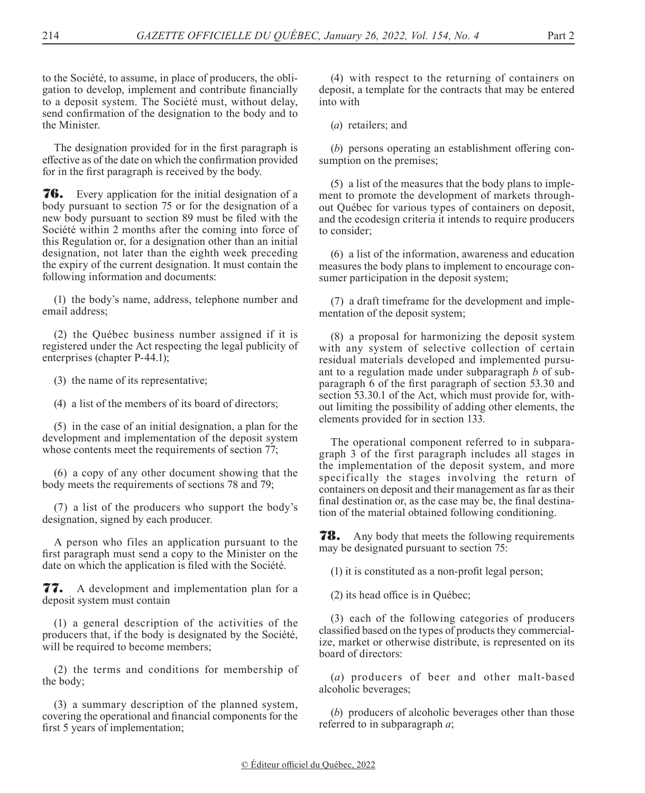to the Société, to assume, in place of producers, the obligation to develop, implement and contribute financially to a deposit system. The Société must, without delay, send confirmation of the designation to the body and to the Minister.

The designation provided for in the first paragraph is effective as of the date on which the confirmation provided for in the first paragraph is received by the body.

76. Every application for the initial designation of a body pursuant to section 75 or for the designation of a new body pursuant to section 89 must be filed with the Société within 2 months after the coming into force of this Regulation or, for a designation other than an initial designation, not later than the eighth week preceding the expiry of the current designation. It must contain the following information and documents:

(1) the body's name, address, telephone number and email address;

(2) the Québec business number assigned if it is registered under the Act respecting the legal publicity of enterprises (chapter P-44.1);

(3) the name of its representative;

(4) a list of the members of its board of directors;

(5) in the case of an initial designation, a plan for the development and implementation of the deposit system whose contents meet the requirements of section 77;

(6) a copy of any other document showing that the body meets the requirements of sections 78 and 79;

(7) a list of the producers who support the body's designation, signed by each producer.

A person who files an application pursuant to the first paragraph must send a copy to the Minister on the date on which the application is filed with the Société.

77. A development and implementation plan for a deposit system must contain

(1) a general description of the activities of the producers that, if the body is designated by the Société, will be required to become members;

(2) the terms and conditions for membership of the body;

(3) a summary description of the planned system, covering the operational and financial components for the first 5 years of implementation;

(4) with respect to the returning of containers on deposit, a template for the contracts that may be entered into with

(*a*) retailers; and

(*b*) persons operating an establishment offering consumption on the premises;

(5) a list of the measures that the body plans to implement to promote the development of markets throughout Québec for various types of containers on deposit, and the ecodesign criteria it intends to require producers to consider;

(6) a list of the information, awareness and education measures the body plans to implement to encourage consumer participation in the deposit system;

(7) a draft timeframe for the development and implementation of the deposit system;

(8) a proposal for harmonizing the deposit system with any system of selective collection of certain residual materials developed and implemented pursuant to a regulation made under subparagraph *b* of subparagraph 6 of the first paragraph of section 53.30 and section 53.30.1 of the Act, which must provide for, without limiting the possibility of adding other elements, the elements provided for in section 133.

The operational component referred to in subparagraph 3 of the first paragraph includes all stages in the implementation of the deposit system, and more specifically the stages involving the return of containers on deposit and their management as far as their final destination or, as the case may be, the final destination of the material obtained following conditioning.

**78.** Any body that meets the following requirements may be designated pursuant to section 75:

(1) it is constituted as a non-profit legal person;

(2) its head office is in Québec;

(3) each of the following categories of producers classified based on the types of products they commercialize, market or otherwise distribute, is represented on its board of directors:

(*a*) producers of beer and other malt-based alcoholic beverages;

(*b*) producers of alcoholic beverages other than those referred to in subparagraph *a*;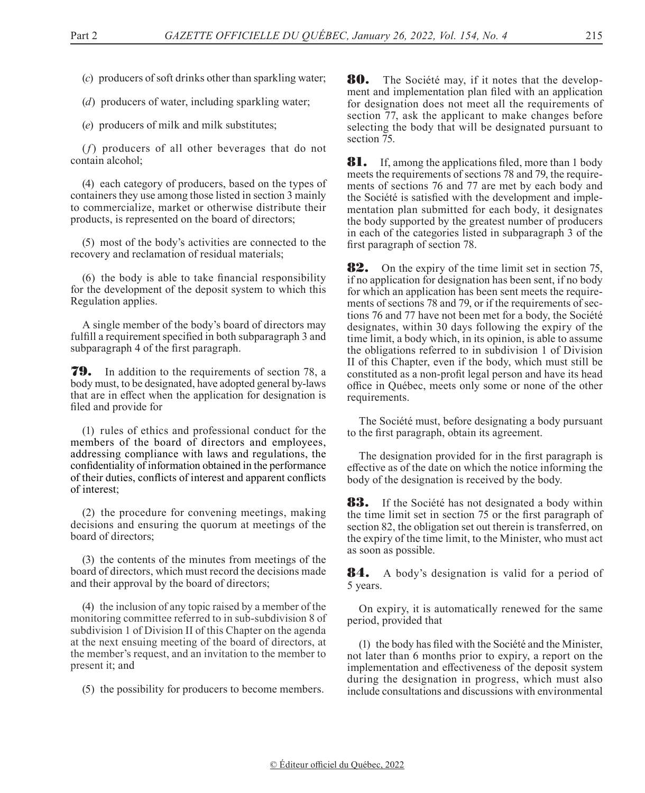- (*c*) producers of soft drinks other than sparkling water;
- (*d*) producers of water, including sparkling water;

(*e*) producers of milk and milk substitutes;

(*f*) producers of all other beverages that do not contain alcohol;

(4) each category of producers, based on the types of containers they use among those listed in section 3 mainly to commercialize, market or otherwise distribute their products, is represented on the board of directors;

(5) most of the body's activities are connected to the recovery and reclamation of residual materials;

(6) the body is able to take financial responsibility for the development of the deposit system to which this Regulation applies.

A single member of the body's board of directors may fulfill a requirement specified in both subparagraph 3 and subparagraph 4 of the first paragraph.

79. In addition to the requirements of section 78, a body must, to be designated, have adopted general by-laws that are in effect when the application for designation is filed and provide for

(1) rules of ethics and professional conduct for the members of the board of directors and employees, addressing compliance with laws and regulations, the confidentiality of information obtained in the performance of their duties, conflicts of interest and apparent conflicts of interest;

(2) the procedure for convening meetings, making decisions and ensuring the quorum at meetings of the board of directors;

(3) the contents of the minutes from meetings of the board of directors, which must record the decisions made and their approval by the board of directors;

(4) the inclusion of any topic raised by a member of the monitoring committee referred to in sub-subdivision 8 of subdivision 1 of Division II of this Chapter on the agenda at the next ensuing meeting of the board of directors, at the member's request, and an invitation to the member to present it; and

(5) the possibility for producers to become members.

80. The Société may, if it notes that the development and implementation plan filed with an application for designation does not meet all the requirements of section 77, ask the applicant to make changes before selecting the body that will be designated pursuant to section 75.

**81.** If, among the applications filed, more than 1 body meets the requirements of sections 78 and 79, the requirements of sections 76 and 77 are met by each body and the Société is satisfied with the development and implementation plan submitted for each body, it designates the body supported by the greatest number of producers in each of the categories listed in subparagraph 3 of the first paragraph of section 78.

**82.** On the expiry of the time limit set in section 75, if no application for designation has been sent, if no body for which an application has been sent meets the requirements of sections 78 and 79, or if the requirements of sections 76 and 77 have not been met for a body, the Société designates, within 30 days following the expiry of the time limit, a body which, in its opinion, is able to assume the obligations referred to in subdivision 1 of Division II of this Chapter, even if the body, which must still be constituted as a non-profit legal person and have its head office in Québec, meets only some or none of the other requirements.

The Société must, before designating a body pursuant to the first paragraph, obtain its agreement.

The designation provided for in the first paragraph is effective as of the date on which the notice informing the body of the designation is received by the body.

83. If the Société has not designated a body within the time limit set in section 75 or the first paragraph of section 82, the obligation set out therein is transferred, on the expiry of the time limit, to the Minister, who must act as soon as possible.

**84.** A body's designation is valid for a period of 5 years.

On expiry, it is automatically renewed for the same period, provided that

(1) the body has filed with the Société and the Minister, not later than 6 months prior to expiry, a report on the implementation and effectiveness of the deposit system during the designation in progress, which must also include consultations and discussions with environmental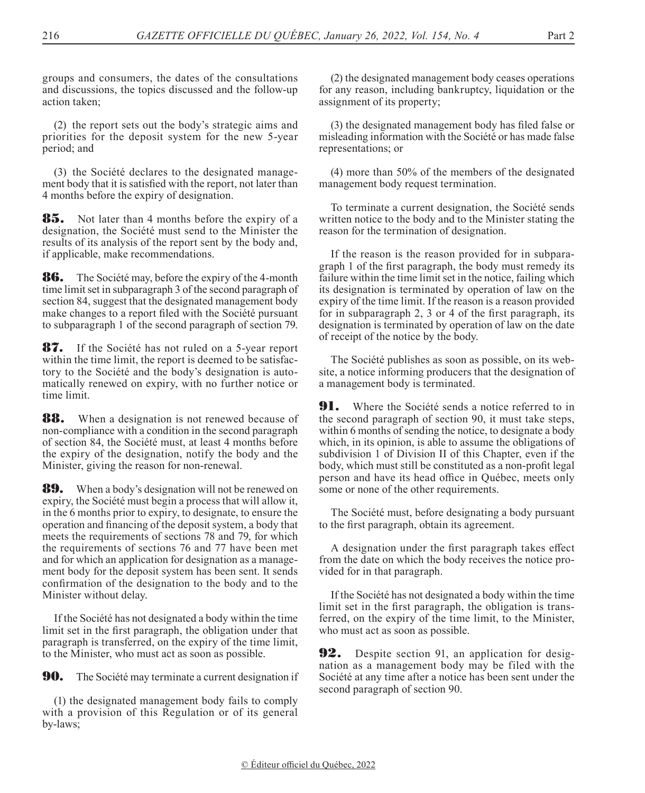groups and consumers, the dates of the consultations and discussions, the topics discussed and the follow-up action taken;

(2) the report sets out the body's strategic aims and priorities for the deposit system for the new 5-year period; and

(3) the Société declares to the designated management body that it is satisfied with the report, not later than 4 months before the expiry of designation.

**85.** Not later than 4 months before the expiry of a designation, the Société must send to the Minister the results of its analysis of the report sent by the body and, if applicable, make recommendations.

**86.** The Société may, before the expiry of the 4-month time limit set in subparagraph 3 of the second paragraph of section 84, suggest that the designated management body make changes to a report filed with the Société pursuant to subparagraph 1 of the second paragraph of section 79.

87. If the Société has not ruled on a 5-year report within the time limit, the report is deemed to be satisfactory to the Société and the body's designation is automatically renewed on expiry, with no further notice or time limit.

**88.** When a designation is not renewed because of non-compliance with a condition in the second paragraph of section 84, the Société must, at least 4 months before the expiry of the designation, notify the body and the Minister, giving the reason for non-renewal.

**89.** When a body's designation will not be renewed on expiry, the Société must begin a process that will allow it, in the 6 months prior to expiry, to designate, to ensure the operation and financing of the deposit system, a body that meets the requirements of sections 78 and 79, for which the requirements of sections 76 and 77 have been met and for which an application for designation as a management body for the deposit system has been sent. It sends confirmation of the designation to the body and to the Minister without delay.

If the Société has not designated a body within the time limit set in the first paragraph, the obligation under that paragraph is transferred, on the expiry of the time limit, to the Minister, who must act as soon as possible.

**90.** The Société may terminate a current designation if

(1) the designated management body fails to comply with a provision of this Regulation or of its general by-laws;

(2) the designated management body ceases operations for any reason, including bankruptcy, liquidation or the assignment of its property;

(3) the designated management body has filed false or misleading information with the Société or has made false representations; or

(4) more than 50% of the members of the designated management body request termination.

To terminate a current designation, the Société sends written notice to the body and to the Minister stating the reason for the termination of designation.

If the reason is the reason provided for in subparagraph 1 of the first paragraph, the body must remedy its failure within the time limit set in the notice, failing which its designation is terminated by operation of law on the expiry of the time limit. If the reason is a reason provided for in subparagraph 2, 3 or 4 of the first paragraph, its designation is terminated by operation of law on the date of receipt of the notice by the body.

The Société publishes as soon as possible, on its website, a notice informing producers that the designation of a management body is terminated.

**91.** Where the Société sends a notice referred to in the second paragraph of section 90, it must take steps, within 6 months of sending the notice, to designate a body which, in its opinion, is able to assume the obligations of subdivision 1 of Division II of this Chapter, even if the body, which must still be constituted as a non-profit legal person and have its head office in Québec, meets only some or none of the other requirements.

The Société must, before designating a body pursuant to the first paragraph, obtain its agreement.

A designation under the first paragraph takes effect from the date on which the body receives the notice provided for in that paragraph.

If the Société has not designated a body within the time limit set in the first paragraph, the obligation is transferred, on the expiry of the time limit, to the Minister, who must act as soon as possible.

**92.** Despite section 91, an application for designation as a management body may be filed with the Société at any time after a notice has been sent under the second paragraph of section 90.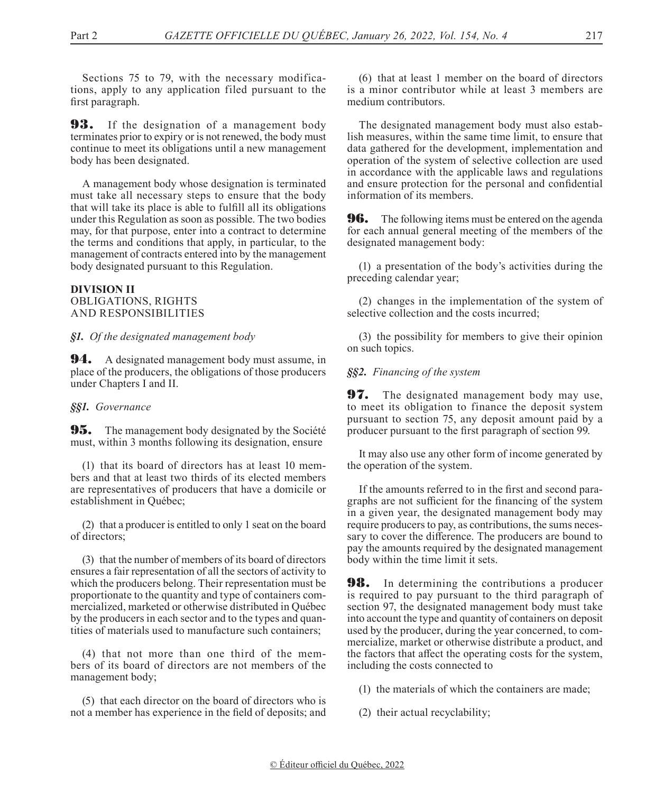Sections 75 to 79, with the necessary modifications, apply to any application filed pursuant to the first paragraph.

**93.** If the designation of a management body terminates prior to expiry or is not renewed, the body must continue to meet its obligations until a new management body has been designated.

A management body whose designation is terminated must take all necessary steps to ensure that the body that will take its place is able to fulfill all its obligations under this Regulation as soon as possible. The two bodies may, for that purpose, enter into a contract to determine the terms and conditions that apply, in particular, to the management of contracts entered into by the management body designated pursuant to this Regulation.

### **DIVISION II** OBLIGATIONS, RIGHTS AND RESPONSIBILITIES

### *§1. Of the designated management body*

**94.** A designated management body must assume, in place of the producers, the obligations of those producers under Chapters I and II.

### *§§1. Governance*

**95.** The management body designated by the Société must, within 3 months following its designation, ensure

(1) that its board of directors has at least 10 members and that at least two thirds of its elected members are representatives of producers that have a domicile or establishment in Québec;

(2) that a producer is entitled to only 1 seat on the board of directors;

(3) that the number of members of its board of directors ensures a fair representation of all the sectors of activity to which the producers belong. Their representation must be proportionate to the quantity and type of containers commercialized, marketed or otherwise distributed in Québec by the producers in each sector and to the types and quantities of materials used to manufacture such containers;

(4) that not more than one third of the members of its board of directors are not members of the management body;

(5) that each director on the board of directors who is not a member has experience in the field of deposits; and

(6) that at least 1 member on the board of directors is a minor contributor while at least 3 members are medium contributors.

The designated management body must also establish measures, within the same time limit, to ensure that data gathered for the development, implementation and operation of the system of selective collection are used in accordance with the applicable laws and regulations and ensure protection for the personal and confidential information of its members.

**96.** The following items must be entered on the agenda for each annual general meeting of the members of the designated management body:

(1) a presentation of the body's activities during the preceding calendar year;

(2) changes in the implementation of the system of selective collection and the costs incurred;

(3) the possibility for members to give their opinion on such topics.

*§§2. Financing of the system*

**97.** The designated management body may use, to meet its obligation to finance the deposit system pursuant to section 75, any deposit amount paid by a producer pursuant to the first paragraph of section 99.

It may also use any other form of income generated by the operation of the system.

If the amounts referred to in the first and second paragraphs are not sufficient for the financing of the system in a given year, the designated management body may require producers to pay, as contributions, the sums necessary to cover the difference. The producers are bound to pay the amounts required by the designated management body within the time limit it sets.

**98.** In determining the contributions a producer is required to pay pursuant to the third paragraph of section 97, the designated management body must take into account the type and quantity of containers on deposit used by the producer, during the year concerned, to commercialize, market or otherwise distribute a product, and the factors that affect the operating costs for the system, including the costs connected to

(1) the materials of which the containers are made;

(2) their actual recyclability;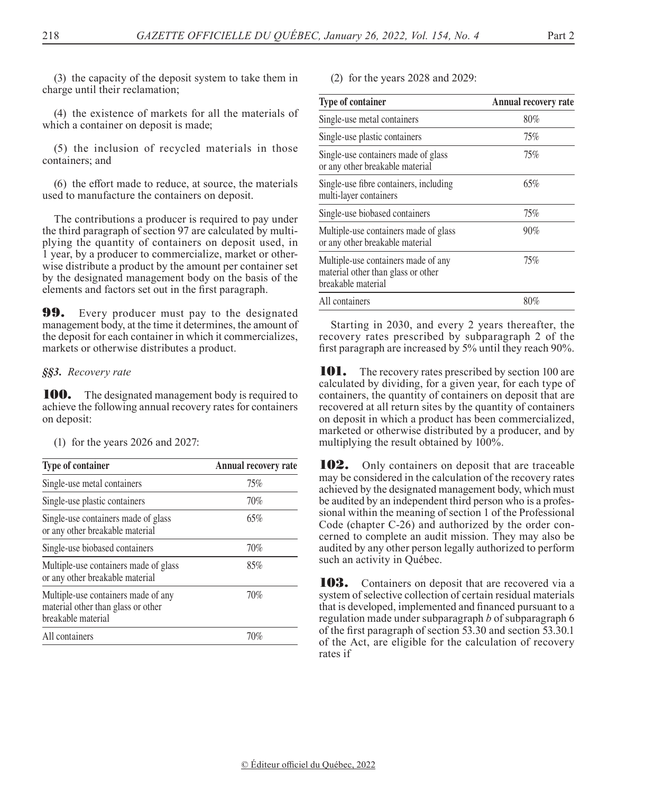(3) the capacity of the deposit system to take them in charge until their reclamation;

(4) the existence of markets for all the materials of which a container on deposit is made;

(5) the inclusion of recycled materials in those containers; and

(6) the effort made to reduce, at source, the materials used to manufacture the containers on deposit.

The contributions a producer is required to pay under the third paragraph of section 97 are calculated by multiplying the quantity of containers on deposit used, in 1 year, by a producer to commercialize, market or otherwise distribute a product by the amount per container set by the designated management body on the basis of the elements and factors set out in the first paragraph.

**99.** Every producer must pay to the designated management body, at the time it determines, the amount of the deposit for each container in which it commercializes, markets or otherwise distributes a product.

### *§§3. Recovery rate*

**100.** The designated management body is required to achieve the following annual recovery rates for containers on deposit:

(1) for the years 2026 and 2027:

| Type of container                                                                               | Annual recovery rate |
|-------------------------------------------------------------------------------------------------|----------------------|
| Single-use metal containers                                                                     | 75%                  |
| Single-use plastic containers                                                                   | 70%                  |
| Single-use containers made of glass<br>or any other breakable material                          | 65%                  |
| Single-use biobased containers                                                                  | 70%                  |
| Multiple-use containers made of glass<br>or any other breakable material                        | 85%                  |
| Multiple-use containers made of any<br>material other than glass or other<br>breakable material | 70%                  |
| All containers                                                                                  | 70%                  |

(2) for the years 2028 and 2029:

| <b>Type of container</b>                                                                        | Annual recovery rate |
|-------------------------------------------------------------------------------------------------|----------------------|
| Single-use metal containers                                                                     | $80\%$               |
| Single-use plastic containers                                                                   | 75%                  |
| Single-use containers made of glass<br>or any other breakable material                          | 75%                  |
| Single-use fibre containers, including<br>multi-layer containers                                | 65%                  |
| Single-use biobased containers                                                                  | 75%                  |
| Multiple-use containers made of glass<br>or any other breakable material                        | 90%                  |
| Multiple-use containers made of any<br>material other than glass or other<br>breakable material | 75%                  |
| All containers                                                                                  | 80%                  |

Starting in 2030, and every 2 years thereafter, the recovery rates prescribed by subparagraph 2 of the first paragraph are increased by 5% until they reach 90%.

101. The recovery rates prescribed by section 100 are calculated by dividing, for a given year, for each type of containers, the quantity of containers on deposit that are recovered at all return sites by the quantity of containers on deposit in which a product has been commercialized, marketed or otherwise distributed by a producer, and by multiplying the result obtained by 100%.

**102.** Only containers on deposit that are traceable may be considered in the calculation of the recovery rates achieved by the designated management body, which must be audited by an independent third person who is a professional within the meaning of section 1 of the Professional Code (chapter C-26) and authorized by the order concerned to complete an audit mission. They may also be audited by any other person legally authorized to perform such an activity in Québec.

**103.** Containers on deposit that are recovered via a system of selective collection of certain residual materials that is developed, implemented and financed pursuant to a regulation made under subparagraph *b* of subparagraph 6 of the first paragraph of section 53.30 and section 53.30.1 of the Act, are eligible for the calculation of recovery rates if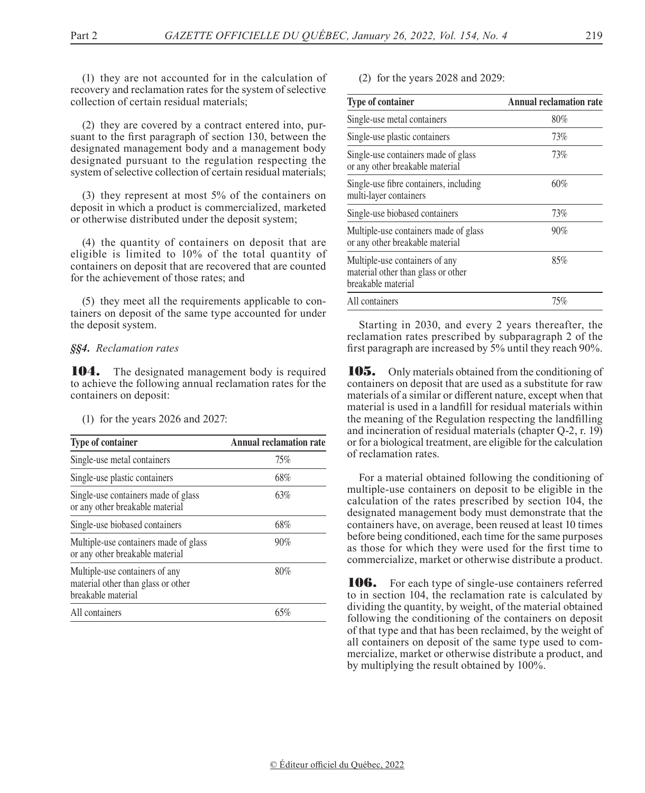(1) they are not accounted for in the calculation of recovery and reclamation rates for the system of selective collection of certain residual materials;

(2) they are covered by a contract entered into, pursuant to the first paragraph of section 130, between the designated management body and a management body designated pursuant to the regulation respecting the system of selective collection of certain residual materials;

(3) they represent at most 5% of the containers on deposit in which a product is commercialized, marketed or otherwise distributed under the deposit system;

(4) the quantity of containers on deposit that are eligible is limited to 10% of the total quantity of containers on deposit that are recovered that are counted for the achievement of those rates; and

(5) they meet all the requirements applicable to containers on deposit of the same type accounted for under the deposit system.

### *§§4. Reclamation rates*

104. The designated management body is required to achieve the following annual reclamation rates for the containers on deposit:

(1) for the years 2026 and 2027:

| <b>Type of container</b>                                                                   | <b>Annual reclamation rate</b> |
|--------------------------------------------------------------------------------------------|--------------------------------|
| Single-use metal containers                                                                | 75%                            |
| Single-use plastic containers                                                              | 68%                            |
| Single-use containers made of glass<br>or any other breakable material                     | 63%                            |
| Single-use biobased containers                                                             | 68%                            |
| Multiple-use containers made of glass<br>or any other breakable material                   | 90%                            |
| Multiple-use containers of any<br>material other than glass or other<br>breakable material | 80%                            |
| All containers                                                                             | 65%                            |
|                                                                                            |                                |

(2) for the years 2028 and 2029:

| <b>Type of container</b>                                                                   | Annual reclamation rate |
|--------------------------------------------------------------------------------------------|-------------------------|
| Single-use metal containers                                                                | 80%                     |
| Single-use plastic containers                                                              | 73%                     |
| Single-use containers made of glass<br>or any other breakable material                     | 73%                     |
| Single-use fibre containers, including<br>multi-layer containers                           | 60%                     |
| Single-use biobased containers                                                             | 73%                     |
| Multiple-use containers made of glass<br>or any other breakable material                   | 90%                     |
| Multiple-use containers of any<br>material other than glass or other<br>breakable material | 85%                     |
| All containers                                                                             | 75%                     |

Starting in 2030, and every 2 years thereafter, the reclamation rates prescribed by subparagraph 2 of the first paragraph are increased by 5% until they reach 90%.

105. Only materials obtained from the conditioning of containers on deposit that are used as a substitute for raw materials of a similar or different nature, except when that material is used in a landfill for residual materials within the meaning of the Regulation respecting the landfilling and incineration of residual materials (chapter Q-2, r. 19) or for a biological treatment, are eligible for the calculation of reclamation rates.

For a material obtained following the conditioning of multiple-use containers on deposit to be eligible in the calculation of the rates prescribed by section 104, the designated management body must demonstrate that the containers have, on average, been reused at least 10 times before being conditioned, each time for the same purposes as those for which they were used for the first time to commercialize, market or otherwise distribute a product.

106. For each type of single-use containers referred to in section 104, the reclamation rate is calculated by dividing the quantity, by weight, of the material obtained following the conditioning of the containers on deposit of that type and that has been reclaimed, by the weight of all containers on deposit of the same type used to commercialize, market or otherwise distribute a product, and by multiplying the result obtained by 100%.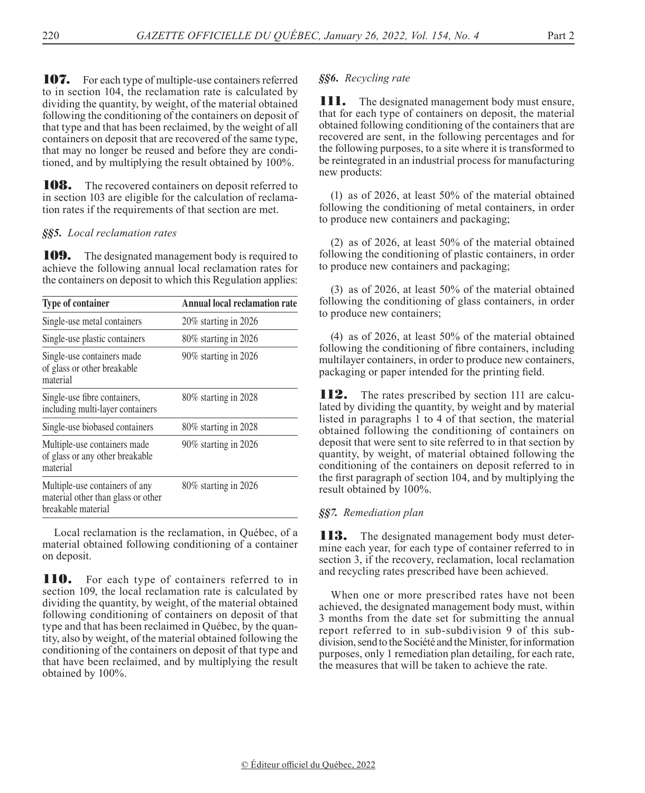107. For each type of multiple-use containers referred to in section 104, the reclamation rate is calculated by dividing the quantity, by weight, of the material obtained following the conditioning of the containers on deposit of that type and that has been reclaimed, by the weight of all containers on deposit that are recovered of the same type, that may no longer be reused and before they are conditioned, and by multiplying the result obtained by 100%.

**108.** The recovered containers on deposit referred to in section 103 are eligible for the calculation of reclamation rates if the requirements of that section are met.

## *§§5. Local reclamation rates*

**109.** The designated management body is required to achieve the following annual local reclamation rates for the containers on deposit to which this Regulation applies:

| <b>Type of container</b>                                                                   | <b>Annual local reclamation rate</b> |
|--------------------------------------------------------------------------------------------|--------------------------------------|
| Single-use metal containers                                                                | $20\%$ starting in 2026              |
| Single-use plastic containers                                                              | $80\%$ starting in 2026              |
| Single-use containers made<br>of glass or other breakable<br>material                      | 90% starting in 2026                 |
| Single-use fibre containers,<br>including multi-layer containers                           | $80\%$ starting in 2028              |
| Single-use biobased containers                                                             | $80\%$ starting in 2028              |
| Multiple-use containers made<br>of glass or any other breakable<br>material                | 90% starting in 2026                 |
| Multiple-use containers of any<br>material other than glass or other<br>breakable material | $80\%$ starting in 2026              |

Local reclamation is the reclamation, in Québec, of a material obtained following conditioning of a container on deposit.

**110.** For each type of containers referred to in section 109, the local reclamation rate is calculated by dividing the quantity, by weight, of the material obtained following conditioning of containers on deposit of that type and that has been reclaimed in Québec, by the quantity, also by weight, of the material obtained following the conditioning of the containers on deposit of that type and that have been reclaimed, and by multiplying the result obtained by 100%.

## *§§6. Recycling rate*

**III.** The designated management body must ensure, that for each type of containers on deposit, the material obtained following conditioning of the containers that are recovered are sent, in the following percentages and for the following purposes, to a site where it is transformed to be reintegrated in an industrial process for manufacturing new products:

(1) as of 2026, at least 50% of the material obtained following the conditioning of metal containers, in order to produce new containers and packaging;

(2) as of 2026, at least 50% of the material obtained following the conditioning of plastic containers, in order to produce new containers and packaging;

(3) as of 2026, at least 50% of the material obtained following the conditioning of glass containers, in order to produce new containers;

(4) as of 2026, at least 50% of the material obtained following the conditioning of fibre containers, including multilayer containers, in order to produce new containers, packaging or paper intended for the printing field.

**112.** The rates prescribed by section 111 are calculated by dividing the quantity, by weight and by material listed in paragraphs 1 to 4 of that section, the material obtained following the conditioning of containers on deposit that were sent to site referred to in that section by quantity, by weight, of material obtained following the conditioning of the containers on deposit referred to in the first paragraph of section 104, and by multiplying the result obtained by 100%.

## *§§7. Remediation plan*

**113.** The designated management body must determine each year, for each type of container referred to in section 3, if the recovery, reclamation, local reclamation and recycling rates prescribed have been achieved.

When one or more prescribed rates have not been achieved, the designated management body must, within 3 months from the date set for submitting the annual report referred to in sub-subdivision 9 of this subdivision, send to the Société and the Minister, for information purposes, only 1 remediation plan detailing, for each rate, the measures that will be taken to achieve the rate.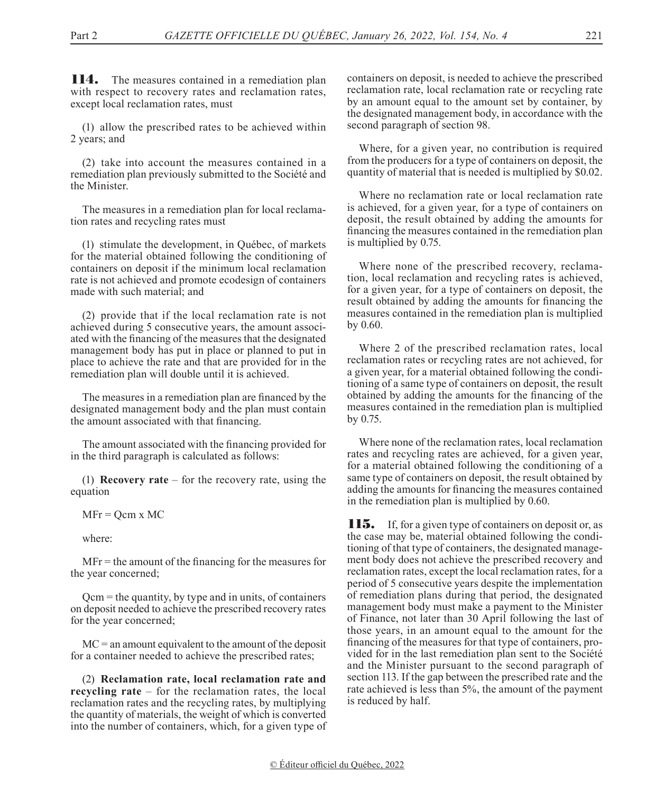**114.** The measures contained in a remediation plan with respect to recovery rates and reclamation rates, except local reclamation rates, must

(1) allow the prescribed rates to be achieved within 2 years; and

(2) take into account the measures contained in a remediation plan previously submitted to the Société and the Minister.

The measures in a remediation plan for local reclamation rates and recycling rates must

(1) stimulate the development, in Québec, of markets for the material obtained following the conditioning of containers on deposit if the minimum local reclamation rate is not achieved and promote ecodesign of containers made with such material; and

(2) provide that if the local reclamation rate is not achieved during 5 consecutive years, the amount associated with the financing of the measures that the designated management body has put in place or planned to put in place to achieve the rate and that are provided for in the remediation plan will double until it is achieved.

The measures in a remediation plan are financed by the designated management body and the plan must contain the amount associated with that financing.

The amount associated with the financing provided for in the third paragraph is calculated as follows:

(1) **Recovery rate** – for the recovery rate, using the equation

 $MFr = Qcm x MC$ 

where:

MFr = the amount of the financing for the measures for the year concerned;

Qcm = the quantity, by type and in units, of containers on deposit needed to achieve the prescribed recovery rates for the year concerned;

 $MC =$  an amount equivalent to the amount of the deposit for a container needed to achieve the prescribed rates;

(2) **Reclamation rate, local reclamation rate and recycling rate** – for the reclamation rates, the local reclamation rates and the recycling rates, by multiplying the quantity of materials, the weight of which is converted into the number of containers, which, for a given type of containers on deposit, is needed to achieve the prescribed reclamation rate, local reclamation rate or recycling rate by an amount equal to the amount set by container, by the designated management body, in accordance with the second paragraph of section 98.

Where, for a given year, no contribution is required from the producers for a type of containers on deposit, the quantity of material that is needed is multiplied by \$0.02.

Where no reclamation rate or local reclamation rate is achieved, for a given year, for a type of containers on deposit, the result obtained by adding the amounts for financing the measures contained in the remediation plan is multiplied by 0.75.

Where none of the prescribed recovery, reclamation, local reclamation and recycling rates is achieved, for a given year, for a type of containers on deposit, the result obtained by adding the amounts for financing the measures contained in the remediation plan is multiplied by 0.60.

Where 2 of the prescribed reclamation rates, local reclamation rates or recycling rates are not achieved, for a given year, for a material obtained following the conditioning of a same type of containers on deposit, the result obtained by adding the amounts for the financing of the measures contained in the remediation plan is multiplied by 0.75.

Where none of the reclamation rates, local reclamation rates and recycling rates are achieved, for a given year, for a material obtained following the conditioning of a same type of containers on deposit, the result obtained by adding the amounts for financing the measures contained in the remediation plan is multiplied by 0.60.

**115.** If, for a given type of containers on deposit or, as the case may be, material obtained following the conditioning of that type of containers, the designated management body does not achieve the prescribed recovery and reclamation rates, except the local reclamation rates, for a period of 5 consecutive years despite the implementation of remediation plans during that period, the designated management body must make a payment to the Minister of Finance, not later than 30 April following the last of those years, in an amount equal to the amount for the financing of the measures for that type of containers, provided for in the last remediation plan sent to the Société and the Minister pursuant to the second paragraph of section 113. If the gap between the prescribed rate and the rate achieved is less than 5%, the amount of the payment is reduced by half.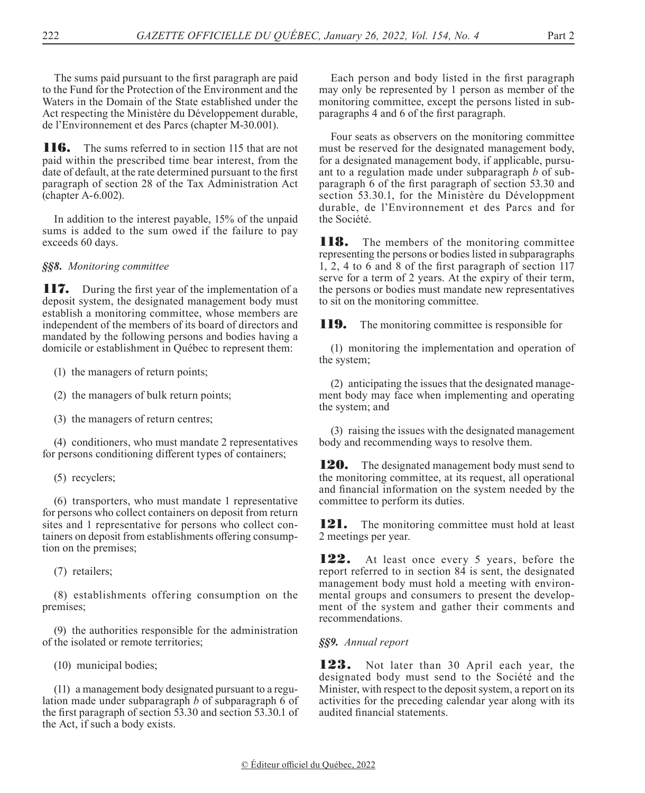The sums paid pursuant to the first paragraph are paid to the Fund for the Protection of the Environment and the Waters in the Domain of the State established under the Act respecting the Ministère du Développement durable, de l'Environnement et des Parcs (chapter M-30.001).

**116.** The sums referred to in section 115 that are not paid within the prescribed time bear interest, from the date of default, at the rate determined pursuant to the first paragraph of section 28 of the Tax Administration Act (chapter A-6.002).

In addition to the interest payable, 15% of the unpaid sums is added to the sum owed if the failure to pay exceeds 60 days.

*§§8. Monitoring committee*

**117.** During the first year of the implementation of a deposit system, the designated management body must establish a monitoring committee, whose members are independent of the members of its board of directors and mandated by the following persons and bodies having a domicile or establishment in Québec to represent them:

(1) the managers of return points;

(2) the managers of bulk return points;

(3) the managers of return centres;

(4) conditioners, who must mandate 2 representatives for persons conditioning different types of containers;

(5) recyclers;

(6) transporters, who must mandate 1 representative for persons who collect containers on deposit from return sites and 1 representative for persons who collect containers on deposit from establishments offering consumption on the premises;

(7) retailers;

(8) establishments offering consumption on the premises;

(9) the authorities responsible for the administration of the isolated or remote territories;

(10) municipal bodies;

(11) a management body designated pursuant to a regulation made under subparagraph *b* of subparagraph 6 of the first paragraph of section 53.30 and section 53.30.1 of the Act, if such a body exists.

Each person and body listed in the first paragraph may only be represented by 1 person as member of the monitoring committee, except the persons listed in subparagraphs 4 and 6 of the first paragraph.

Four seats as observers on the monitoring committee must be reserved for the designated management body, for a designated management body, if applicable, pursuant to a regulation made under subparagraph *b* of subparagraph 6 of the first paragraph of section 53.30 and section 53.30.1, for the Ministère du Développment durable, de l'Environnement et des Parcs and for the Société.

**118.** The members of the monitoring committee representing the persons or bodies listed in subparagraphs 1, 2, 4 to 6 and 8 of the first paragraph of section 117 serve for a term of 2 years. At the expiry of their term, the persons or bodies must mandate new representatives to sit on the monitoring committee.

**119.** The monitoring committee is responsible for

(1) monitoring the implementation and operation of the system;

(2) anticipating the issues that the designated management body may face when implementing and operating the system; and

(3) raising the issues with the designated management body and recommending ways to resolve them.

**120.** The designated management body must send to the monitoring committee, at its request, all operational and financial information on the system needed by the committee to perform its duties.

**121.** The monitoring committee must hold at least 2 meetings per year.

122. At least once every 5 years, before the report referred to in section 84 is sent, the designated management body must hold a meeting with environmental groups and consumers to present the development of the system and gather their comments and recommendations.

*§§9. Annual report*

123. Not later than 30 April each year, the designated body must send to the Société and the Minister, with respect to the deposit system, a report on its activities for the preceding calendar year along with its audited financial statements.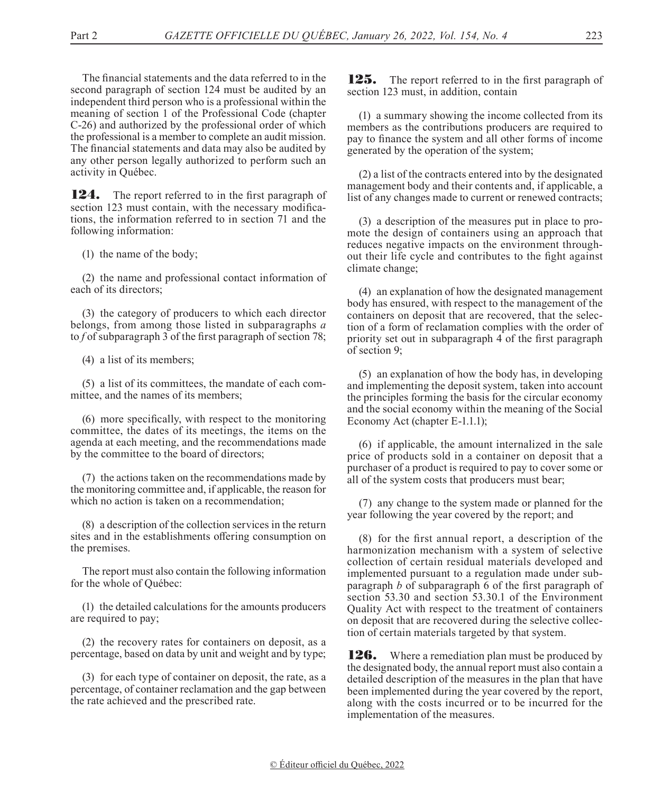The financial statements and the data referred to in the second paragraph of section 124 must be audited by an independent third person who is a professional within the meaning of section 1 of the Professional Code (chapter C-26) and authorized by the professional order of which the professional is a member to complete an audit mission. The financial statements and data may also be audited by any other person legally authorized to perform such an activity in Québec.

**124.** The report referred to in the first paragraph of section 123 must contain, with the necessary modifications, the information referred to in section 71 and the following information:

(1) the name of the body;

(2) the name and professional contact information of each of its directors;

(3) the category of producers to which each director belongs, from among those listed in subparagraphs *a* to *f* of subparagraph 3 of the first paragraph of section 78;

(4) a list of its members;

(5) a list of its committees, the mandate of each committee, and the names of its members;

(6) more specifically, with respect to the monitoring committee, the dates of its meetings, the items on the agenda at each meeting, and the recommendations made by the committee to the board of directors;

(7) the actions taken on the recommendations made by the monitoring committee and, if applicable, the reason for which no action is taken on a recommendation;

(8) a description of the collection services in the return sites and in the establishments offering consumption on the premises.

The report must also contain the following information for the whole of Québec:

(1) the detailed calculations for the amounts producers are required to pay;

(2) the recovery rates for containers on deposit, as a percentage, based on data by unit and weight and by type;

(3) for each type of container on deposit, the rate, as a percentage, of container reclamation and the gap between the rate achieved and the prescribed rate.

**125.** The report referred to in the first paragraph of section 123 must, in addition, contain

(1) a summary showing the income collected from its members as the contributions producers are required to pay to finance the system and all other forms of income generated by the operation of the system;

(2) a list of the contracts entered into by the designated management body and their contents and, if applicable, a list of any changes made to current or renewed contracts;

(3) a description of the measures put in place to promote the design of containers using an approach that reduces negative impacts on the environment throughout their life cycle and contributes to the fight against climate change;

(4) an explanation of how the designated management body has ensured, with respect to the management of the containers on deposit that are recovered, that the selection of a form of reclamation complies with the order of priority set out in subparagraph 4 of the first paragraph of section 9;

(5) an explanation of how the body has, in developing and implementing the deposit system, taken into account the principles forming the basis for the circular economy and the social economy within the meaning of the Social Economy Act (chapter E-1.1.1);

(6) if applicable, the amount internalized in the sale price of products sold in a container on deposit that a purchaser of a product is required to pay to cover some or all of the system costs that producers must bear;

(7) any change to the system made or planned for the year following the year covered by the report; and

(8) for the first annual report, a description of the harmonization mechanism with a system of selective collection of certain residual materials developed and implemented pursuant to a regulation made under subparagraph *b* of subparagraph 6 of the first paragraph of section 53.30 and section 53.30.1 of the Environment Quality Act with respect to the treatment of containers on deposit that are recovered during the selective collection of certain materials targeted by that system.

**126.** Where a remediation plan must be produced by the designated body, the annual report must also contain a detailed description of the measures in the plan that have been implemented during the year covered by the report, along with the costs incurred or to be incurred for the implementation of the measures.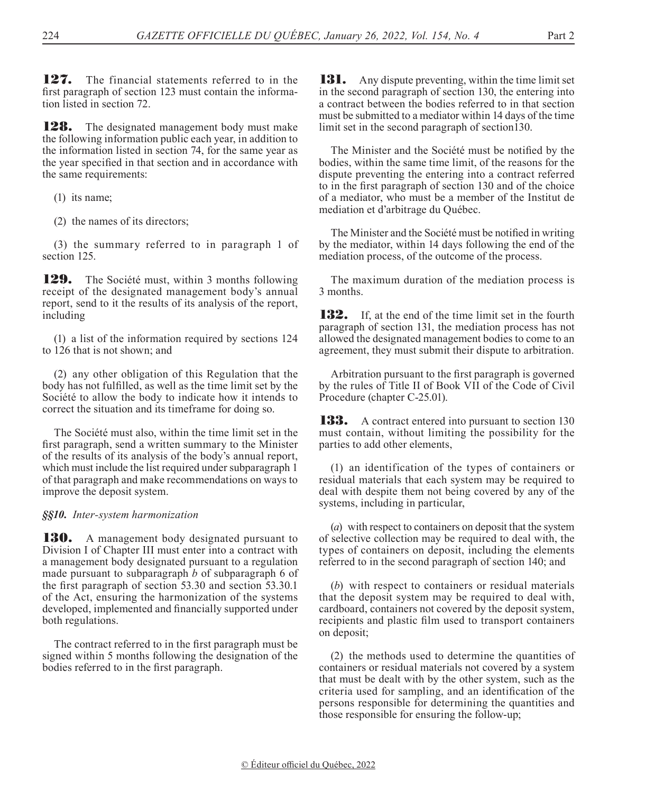127. The financial statements referred to in the first paragraph of section 123 must contain the information listed in section 72.

**128.** The designated management body must make the following information public each year, in addition to the information listed in section 74, for the same year as the year specified in that section and in accordance with the same requirements:

(1) its name;

(2) the names of its directors;

(3) the summary referred to in paragraph 1 of section 125.

**129.** The Société must, within 3 months following receipt of the designated management body's annual report, send to it the results of its analysis of the report, including

(1) a list of the information required by sections 124 to 126 that is not shown; and

(2) any other obligation of this Regulation that the body has not fulfilled, as well as the time limit set by the Société to allow the body to indicate how it intends to correct the situation and its timeframe for doing so.

The Société must also, within the time limit set in the first paragraph, send a written summary to the Minister of the results of its analysis of the body's annual report, which must include the list required under subparagraph 1 of that paragraph and make recommendations on ways to improve the deposit system.

### *§§10. Inter-system harmonization*

**130.** A management body designated pursuant to Division I of Chapter III must enter into a contract with a management body designated pursuant to a regulation made pursuant to subparagraph *b* of subparagraph 6 of the first paragraph of section 53.30 and section 53.30.1 of the Act, ensuring the harmonization of the systems developed, implemented and financially supported under both regulations.

The contract referred to in the first paragraph must be signed within 5 months following the designation of the bodies referred to in the first paragraph.

**131.** Any dispute preventing, within the time limit set in the second paragraph of section 130, the entering into a contract between the bodies referred to in that section must be submitted to a mediator within 14 days of the time limit set in the second paragraph of section130.

The Minister and the Société must be notified by the bodies, within the same time limit, of the reasons for the dispute preventing the entering into a contract referred to in the first paragraph of section 130 and of the choice of a mediator, who must be a member of the Institut de mediation et d'arbitrage du Québec.

The Minister and the Société must be notified in writing by the mediator, within 14 days following the end of the mediation process, of the outcome of the process.

The maximum duration of the mediation process is 3 months.

**132.** If, at the end of the time limit set in the fourth paragraph of section 131, the mediation process has not allowed the designated management bodies to come to an agreement, they must submit their dispute to arbitration.

Arbitration pursuant to the first paragraph is governed by the rules of Title II of Book VII of the Code of Civil Procedure (chapter C-25.01).

**133.** A contract entered into pursuant to section 130 must contain, without limiting the possibility for the parties to add other elements,

(1) an identification of the types of containers or residual materials that each system may be required to deal with despite them not being covered by any of the systems, including in particular,

(*a*) with respect to containers on deposit that the system of selective collection may be required to deal with, the types of containers on deposit, including the elements referred to in the second paragraph of section 140; and

(*b*) with respect to containers or residual materials that the deposit system may be required to deal with, cardboard, containers not covered by the deposit system, recipients and plastic film used to transport containers on deposit;

(2) the methods used to determine the quantities of containers or residual materials not covered by a system that must be dealt with by the other system, such as the criteria used for sampling, and an identification of the persons responsible for determining the quantities and those responsible for ensuring the follow-up;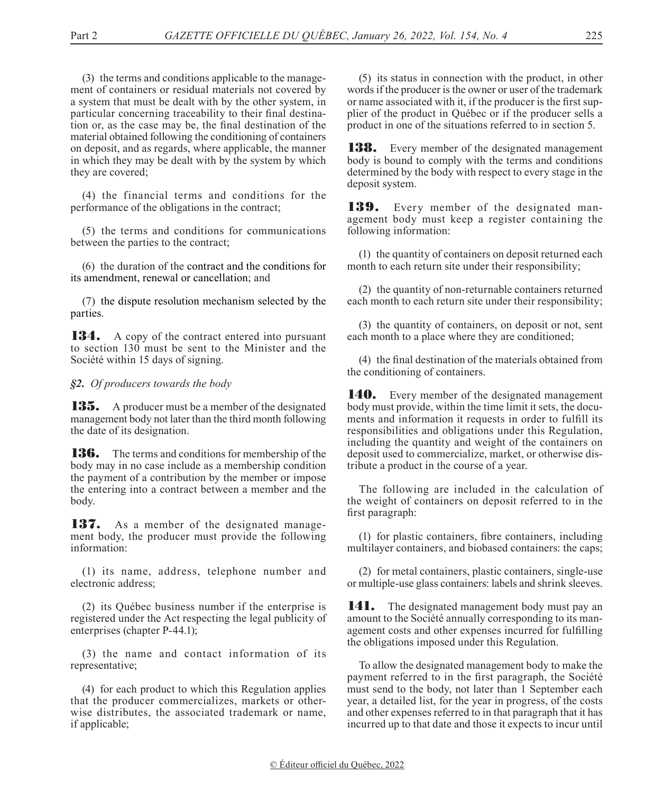(3) the terms and conditions applicable to the management of containers or residual materials not covered by a system that must be dealt with by the other system, in particular concerning traceability to their final destination or, as the case may be, the final destination of the material obtained following the conditioning of containers on deposit, and as regards, where applicable, the manner in which they may be dealt with by the system by which they are covered;

(4) the financial terms and conditions for the performance of the obligations in the contract;

(5) the terms and conditions for communications between the parties to the contract;

(6) the duration of the contract and the conditions for its amendment, renewal or cancellation; and

(7) the dispute resolution mechanism selected by the parties.

134. A copy of the contract entered into pursuant to section 130 must be sent to the Minister and the Société within 15 days of signing.

*§2. Of producers towards the body*

**135.** A producer must be a member of the designated management body not later than the third month following the date of its designation.

136. The terms and conditions for membership of the body may in no case include as a membership condition the payment of a contribution by the member or impose the entering into a contract between a member and the body.

137. As a member of the designated management body, the producer must provide the following information:

(1) its name, address, telephone number and electronic address;

(2) its Québec business number if the enterprise is registered under the Act respecting the legal publicity of enterprises (chapter P-44.1);

(3) the name and contact information of its representative;

(4) for each product to which this Regulation applies that the producer commercializes, markets or otherwise distributes, the associated trademark or name, if applicable;

(5) its status in connection with the product, in other words if the producer is the owner or user of the trademark or name associated with it, if the producer is the first supplier of the product in Québec or if the producer sells a product in one of the situations referred to in section 5.

**138.** Every member of the designated management body is bound to comply with the terms and conditions determined by the body with respect to every stage in the deposit system.

139. Every member of the designated management body must keep a register containing the following information:

(1) the quantity of containers on deposit returned each month to each return site under their responsibility;

(2) the quantity of non-returnable containers returned each month to each return site under their responsibility;

(3) the quantity of containers, on deposit or not, sent each month to a place where they are conditioned;

(4) the final destination of the materials obtained from the conditioning of containers.

**140.** Every member of the designated management body must provide, within the time limit it sets, the documents and information it requests in order to fulfill its responsibilities and obligations under this Regulation, including the quantity and weight of the containers on deposit used to commercialize, market, or otherwise distribute a product in the course of a year.

The following are included in the calculation of the weight of containers on deposit referred to in the first paragraph:

(1) for plastic containers, fibre containers, including multilayer containers, and biobased containers: the caps;

(2) for metal containers, plastic containers, single-use or multiple-use glass containers: labels and shrink sleeves.

**141.** The designated management body must pay an amount to the Société annually corresponding to its management costs and other expenses incurred for fulfilling the obligations imposed under this Regulation.

To allow the designated management body to make the payment referred to in the first paragraph, the Société must send to the body, not later than 1 September each year, a detailed list, for the year in progress, of the costs and other expenses referred to in that paragraph that it has incurred up to that date and those it expects to incur until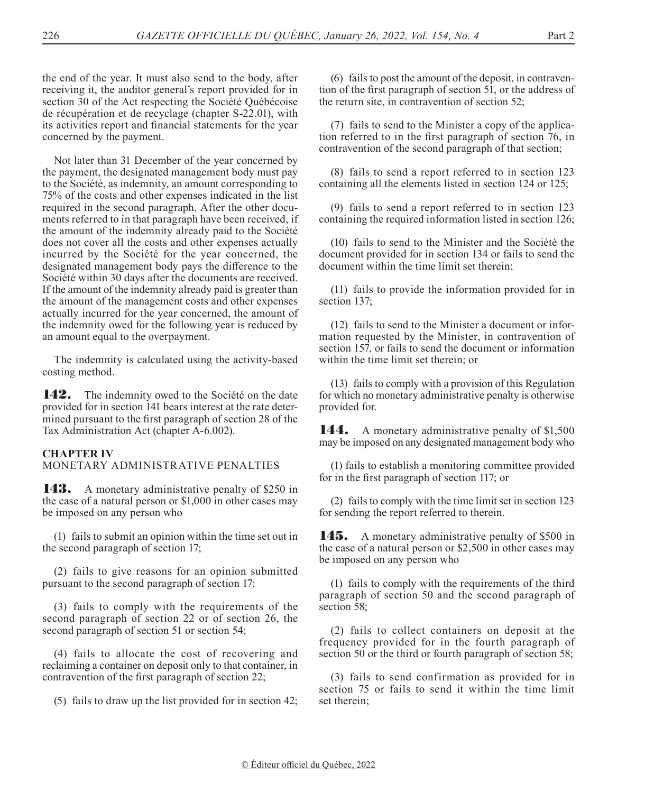the end of the year. It must also send to the body, after receiving it, the auditor general's report provided for in section 30 of the Act respecting the Société Québécoise de récupération et de recyclage (chapter S-22.01), with its activities report and financial statements for the year concerned by the payment.

Not later than 31 December of the year concerned by the payment, the designated management body must pay to the Société, as indemnity, an amount corresponding to 75% of the costs and other expenses indicated in the list required in the second paragraph. After the other documents referred to in that paragraph have been received, if the amount of the indemnity already paid to the Société does not cover all the costs and other expenses actually incurred by the Société for the year concerned, the designated management body pays the difference to the Société within 30 days after the documents are received. If the amount of the indemnity already paid is greater than the amount of the management costs and other expenses actually incurred for the year concerned, the amount of the indemnity owed for the following year is reduced by an amount equal to the overpayment.

The indemnity is calculated using the activity-based costing method.

**142.** The indemnity owed to the Société on the date provided for in section 141 bears interest at the rate determined pursuant to the first paragraph of section 28 of the Tax Administration Act (chapter A-6.002).

### **CHAPTER IV**

MONETARY ADMINISTRATIVE PENALTIES

**143.** A monetary administrative penalty of \$250 in the case of a natural person or \$1,000 in other cases may be imposed on any person who

(1) fails to submit an opinion within the time set out in the second paragraph of section 17;

(2) fails to give reasons for an opinion submitted pursuant to the second paragraph of section 17;

(3) fails to comply with the requirements of the second paragraph of section 22 or of section 26, the second paragraph of section 51 or section 54;

(4) fails to allocate the cost of recovering and reclaiming a container on deposit only to that container, in contravention of the first paragraph of section 22;

(5) fails to draw up the list provided for in section 42;

(6) fails to post the amount of the deposit, in contravention of the first paragraph of section 51, or the address of the return site, in contravention of section 52;

(7) fails to send to the Minister a copy of the application referred to in the first paragraph of section 76, in contravention of the second paragraph of that section;

(8) fails to send a report referred to in section 123 containing all the elements listed in section 124 or 125;

(9) fails to send a report referred to in section 123 containing the required information listed in section 126;

(10) fails to send to the Minister and the Société the document provided for in section 134 or fails to send the document within the time limit set therein;

(11) fails to provide the information provided for in section 137;

(12) fails to send to the Minister a document or information requested by the Minister, in contravention of section 157, or fails to send the document or information within the time limit set therein; or

(13) fails to comply with a provision of this Regulation for which no monetary administrative penalty is otherwise provided for.

**144.** A monetary administrative penalty of \$1,500 may be imposed on any designated management body who

(1) fails to establish a monitoring committee provided for in the first paragraph of section 117; or

(2) fails to comply with the time limit set in section 123 for sending the report referred to therein.

145. A monetary administrative penalty of \$500 in the case of a natural person or \$2,500 in other cases may be imposed on any person who

(1) fails to comply with the requirements of the third paragraph of section 50 and the second paragraph of section 58;

(2) fails to collect containers on deposit at the frequency provided for in the fourth paragraph of section 50 or the third or fourth paragraph of section 58;

(3) fails to send confirmation as provided for in section 75 or fails to send it within the time limit set therein;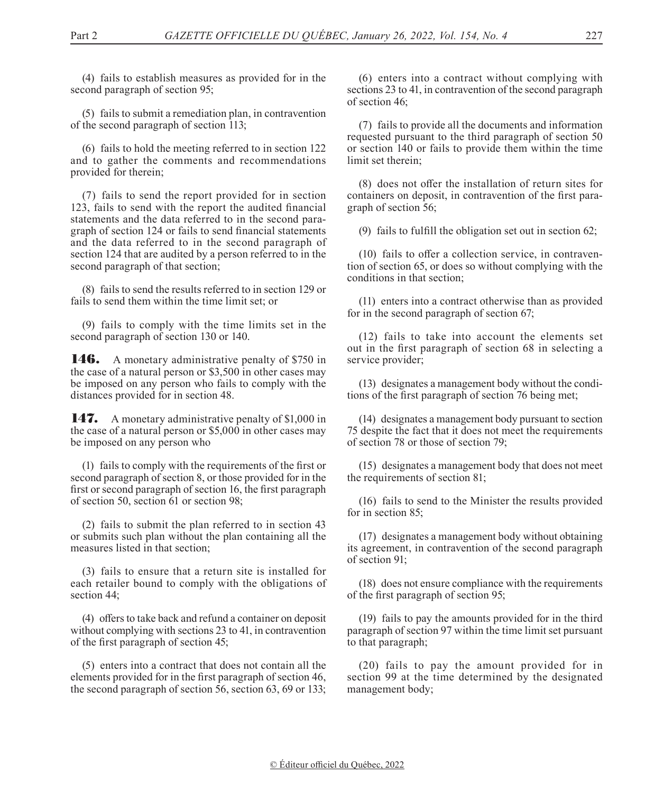(4) fails to establish measures as provided for in the second paragraph of section 95;

(5) fails to submit a remediation plan, in contravention of the second paragraph of section 113;

(6) fails to hold the meeting referred to in section 122 and to gather the comments and recommendations provided for therein;

(7) fails to send the report provided for in section 123, fails to send with the report the audited financial statements and the data referred to in the second paragraph of section 124 or fails to send financial statements and the data referred to in the second paragraph of section 124 that are audited by a person referred to in the second paragraph of that section;

(8) fails to send the results referred to in section 129 or fails to send them within the time limit set; or

(9) fails to comply with the time limits set in the second paragraph of section 130 or 140.

146. A monetary administrative penalty of \$750 in the case of a natural person or \$3,500 in other cases may be imposed on any person who fails to comply with the distances provided for in section 48.

147. A monetary administrative penalty of \$1,000 in the case of a natural person or \$5,000 in other cases may be imposed on any person who

(1) fails to comply with the requirements of the first or second paragraph of section 8, or those provided for in the first or second paragraph of section 16, the first paragraph of section 50, section 61 or section 98;

(2) fails to submit the plan referred to in section 43 or submits such plan without the plan containing all the measures listed in that section;

(3) fails to ensure that a return site is installed for each retailer bound to comply with the obligations of section 44;

(4) offers to take back and refund a container on deposit without complying with sections 23 to 41, in contravention of the first paragraph of section 45;

(5) enters into a contract that does not contain all the elements provided for in the first paragraph of section 46, the second paragraph of section 56, section 63, 69 or 133;

(6) enters into a contract without complying with sections 23 to 41, in contravention of the second paragraph of section 46;

(7) fails to provide all the documents and information requested pursuant to the third paragraph of section 50 or section 140 or fails to provide them within the time limit set therein;

(8) does not offer the installation of return sites for containers on deposit, in contravention of the first paragraph of section 56;

(9) fails to fulfill the obligation set out in section 62;

(10) fails to offer a collection service, in contravention of section 65, or does so without complying with the conditions in that section;

(11) enters into a contract otherwise than as provided for in the second paragraph of section 67;

(12) fails to take into account the elements set out in the first paragraph of section 68 in selecting a service provider;

(13) designates a management body without the conditions of the first paragraph of section 76 being met;

(14) designates a management body pursuant to section 75 despite the fact that it does not meet the requirements of section 78 or those of section 79;

(15) designates a management body that does not meet the requirements of section 81;

(16) fails to send to the Minister the results provided for in section 85;

(17) designates a management body without obtaining its agreement, in contravention of the second paragraph of section 91;

(18) does not ensure compliance with the requirements of the first paragraph of section 95;

(19) fails to pay the amounts provided for in the third paragraph of section 97 within the time limit set pursuant to that paragraph;

(20) fails to pay the amount provided for in section 99 at the time determined by the designated management body;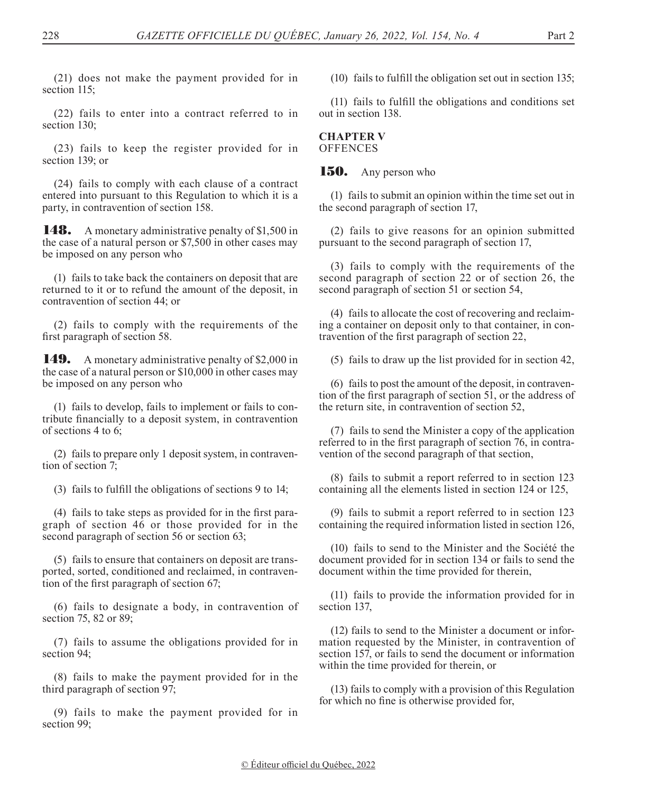(21) does not make the payment provided for in section 115;

(22) fails to enter into a contract referred to in section 130;

(23) fails to keep the register provided for in section 139; or

(24) fails to comply with each clause of a contract entered into pursuant to this Regulation to which it is a party, in contravention of section 158.

**148.** A monetary administrative penalty of \$1,500 in the case of a natural person or \$7,500 in other cases may be imposed on any person who

(1) fails to take back the containers on deposit that are returned to it or to refund the amount of the deposit, in contravention of section 44; or

(2) fails to comply with the requirements of the first paragraph of section 58.

**149.** A monetary administrative penalty of \$2,000 in the case of a natural person or \$10,000 in other cases may be imposed on any person who

(1) fails to develop, fails to implement or fails to contribute financially to a deposit system, in contravention of sections 4 to 6;

(2) fails to prepare only 1 deposit system, in contravention of section 7;

(3) fails to fulfill the obligations of sections 9 to 14;

(4) fails to take steps as provided for in the first paragraph of section 46 or those provided for in the second paragraph of section 56 or section 63;

(5) fails to ensure that containers on deposit are transported, sorted, conditioned and reclaimed, in contravention of the first paragraph of section 67;

(6) fails to designate a body, in contravention of section 75, 82 or 89;

(7) fails to assume the obligations provided for in section 94;

(8) fails to make the payment provided for in the third paragraph of section 97;

(9) fails to make the payment provided for in section 99;

(10) fails to fulfill the obligation set out in section 135;

(11) fails to fulfill the obligations and conditions set out in section 138.

### **CHAPTER V OFFENCES**

## 150. Any person who

(1) fails to submit an opinion within the time set out in the second paragraph of section 17,

(2) fails to give reasons for an opinion submitted pursuant to the second paragraph of section 17,

(3) fails to comply with the requirements of the second paragraph of section 22 or of section 26, the second paragraph of section 51 or section 54,

(4) fails to allocate the cost of recovering and reclaiming a container on deposit only to that container, in contravention of the first paragraph of section 22,

(5) fails to draw up the list provided for in section 42,

(6) fails to post the amount of the deposit, in contravention of the first paragraph of section 51, or the address of the return site, in contravention of section 52,

(7) fails to send the Minister a copy of the application referred to in the first paragraph of section 76, in contravention of the second paragraph of that section,

(8) fails to submit a report referred to in section 123 containing all the elements listed in section 124 or 125,

(9) fails to submit a report referred to in section 123 containing the required information listed in section 126,

(10) fails to send to the Minister and the Société the document provided for in section 134 or fails to send the document within the time provided for therein,

(11) fails to provide the information provided for in section 137,

(12) fails to send to the Minister a document or information requested by the Minister, in contravention of section 157, or fails to send the document or information within the time provided for therein, or

(13) fails to comply with a provision of this Regulation for which no fine is otherwise provided for,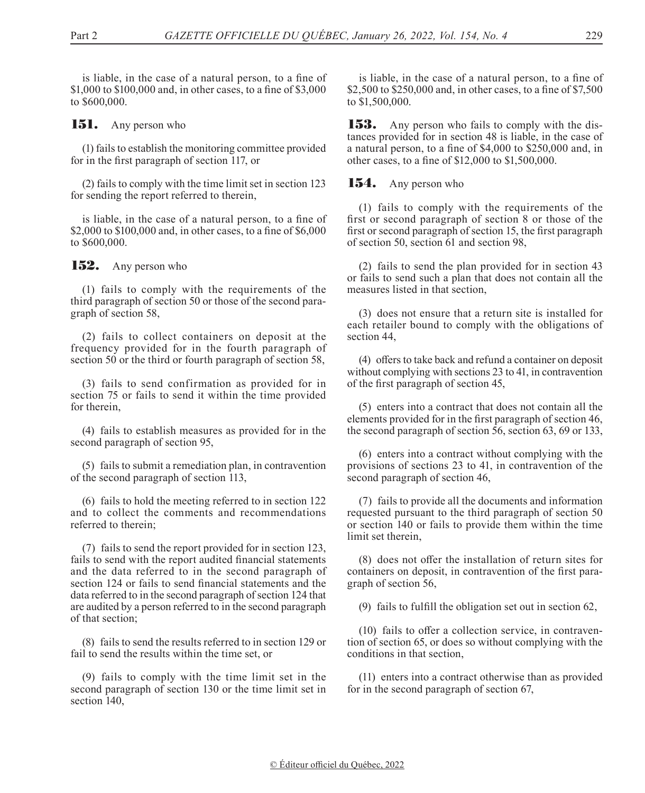is liable, in the case of a natural person, to a fine of \$1,000 to \$100,000 and, in other cases, to a fine of \$3,000 to \$600,000.

**151.** Any person who

(1) fails to establish the monitoring committee provided for in the first paragraph of section 117, or

(2) fails to comply with the time limit set in section 123 for sending the report referred to therein,

is liable, in the case of a natural person, to a fine of \$2,000 to \$100,000 and, in other cases, to a fine of \$6,000 to \$600,000.

152. Any person who

(1) fails to comply with the requirements of the third paragraph of section 50 or those of the second paragraph of section 58,

(2) fails to collect containers on deposit at the frequency provided for in the fourth paragraph of section 50 or the third or fourth paragraph of section 58,

(3) fails to send confirmation as provided for in section 75 or fails to send it within the time provided for therein,

(4) fails to establish measures as provided for in the second paragraph of section 95,

(5) fails to submit a remediation plan, in contravention of the second paragraph of section 113,

(6) fails to hold the meeting referred to in section 122 and to collect the comments and recommendations referred to therein;

(7) fails to send the report provided for in section 123, fails to send with the report audited financial statements and the data referred to in the second paragraph of section 124 or fails to send financial statements and the data referred to in the second paragraph of section 124 that are audited by a person referred to in the second paragraph of that section;

(8) fails to send the results referred to in section 129 or fail to send the results within the time set, or

(9) fails to comply with the time limit set in the second paragraph of section 130 or the time limit set in section 140,

is liable, in the case of a natural person, to a fine of \$2,500 to \$250,000 and, in other cases, to a fine of \$7,500 to \$1,500,000.

**153.** Any person who fails to comply with the distances provided for in section 48 is liable, in the case of a natural person, to a fine of \$4,000 to \$250,000 and, in other cases, to a fine of \$12,000 to \$1,500,000.

154. Any person who

(1) fails to comply with the requirements of the first or second paragraph of section 8 or those of the first or second paragraph of section 15, the first paragraph of section 50, section 61 and section 98,

(2) fails to send the plan provided for in section 43 or fails to send such a plan that does not contain all the measures listed in that section,

(3) does not ensure that a return site is installed for each retailer bound to comply with the obligations of section 44,

(4) offers to take back and refund a container on deposit without complying with sections 23 to 41, in contravention of the first paragraph of section 45,

(5) enters into a contract that does not contain all the elements provided for in the first paragraph of section 46, the second paragraph of section 56, section 63, 69 or 133,

(6) enters into a contract without complying with the provisions of sections 23 to 41, in contravention of the second paragraph of section 46,

(7) fails to provide all the documents and information requested pursuant to the third paragraph of section 50 or section 140 or fails to provide them within the time limit set therein,

(8) does not offer the installation of return sites for containers on deposit, in contravention of the first paragraph of section 56,

(9) fails to fulfill the obligation set out in section 62,

(10) fails to offer a collection service, in contravention of section 65, or does so without complying with the conditions in that section,

(11) enters into a contract otherwise than as provided for in the second paragraph of section 67,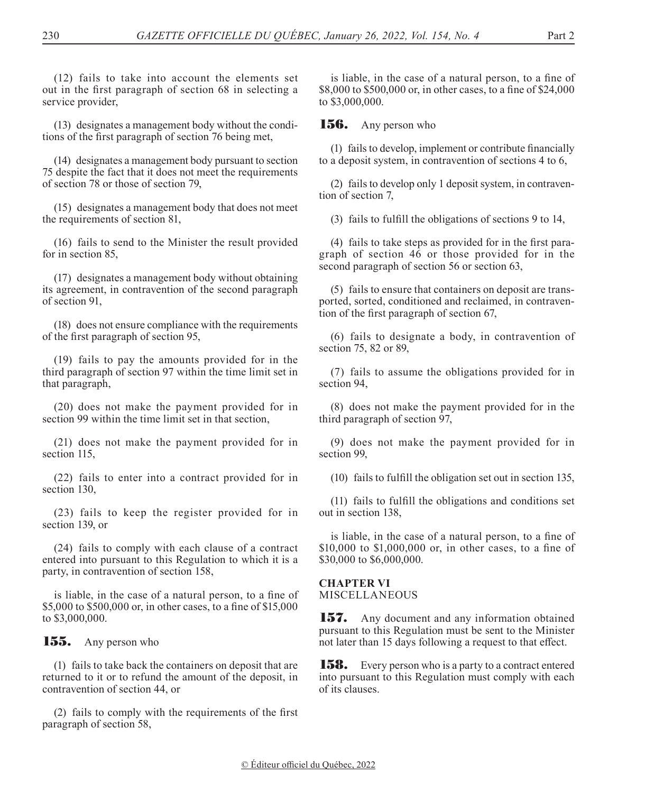(12) fails to take into account the elements set out in the first paragraph of section 68 in selecting a service provider,

(13) designates a management body without the conditions of the first paragraph of section 76 being met,

(14) designates a management body pursuant to section 75 despite the fact that it does not meet the requirements of section 78 or those of section 79,

(15) designates a management body that does not meet the requirements of section 81,

(16) fails to send to the Minister the result provided for in section 85,

(17) designates a management body without obtaining its agreement, in contravention of the second paragraph of section 91,

(18) does not ensure compliance with the requirements of the first paragraph of section 95,

(19) fails to pay the amounts provided for in the third paragraph of section 97 within the time limit set in that paragraph,

(20) does not make the payment provided for in section 99 within the time limit set in that section,

(21) does not make the payment provided for in section 115,

(22) fails to enter into a contract provided for in section 130,

(23) fails to keep the register provided for in section 139, or

(24) fails to comply with each clause of a contract entered into pursuant to this Regulation to which it is a party, in contravention of section 158,

is liable, in the case of a natural person, to a fine of \$5,000 to \$500,000 or, in other cases, to a fine of \$15,000 to \$3,000,000.

155. Any person who

(1) fails to take back the containers on deposit that are returned to it or to refund the amount of the deposit, in contravention of section 44, or

(2) fails to comply with the requirements of the first paragraph of section 58,

is liable, in the case of a natural person, to a fine of \$8,000 to \$500,000 or, in other cases, to a fine of \$24,000 to \$3,000,000.

**156.** Any person who

(1) failsto develop, implement or contribute financially to a deposit system, in contravention of sections 4 to 6,

(2) fails to develop only 1 deposit system, in contravention of section 7,

(3) fails to fulfill the obligations of sections 9 to 14,

(4) fails to take steps as provided for in the first paragraph of section 46 or those provided for in the second paragraph of section 56 or section 63,

(5) fails to ensure that containers on deposit are transported, sorted, conditioned and reclaimed, in contravention of the first paragraph of section 67,

(6) fails to designate a body, in contravention of section 75, 82 or 89,

(7) fails to assume the obligations provided for in section 94,

(8) does not make the payment provided for in the third paragraph of section 97,

(9) does not make the payment provided for in section 99,

(10) fails to fulfill the obligation set out in section 135,

(11) fails to fulfill the obligations and conditions set out in section 138,

is liable, in the case of a natural person, to a fine of \$10,000 to \$1,000,000 or, in other cases, to a fine of \$30,000 to \$6,000,000.

## **CHAPTER VI**

MISCELLANEOUS

**157.** Any document and any information obtained pursuant to this Regulation must be sent to the Minister not later than 15 days following a request to that effect.

**158.** Every person who is a party to a contract entered into pursuant to this Regulation must comply with each of its clauses.